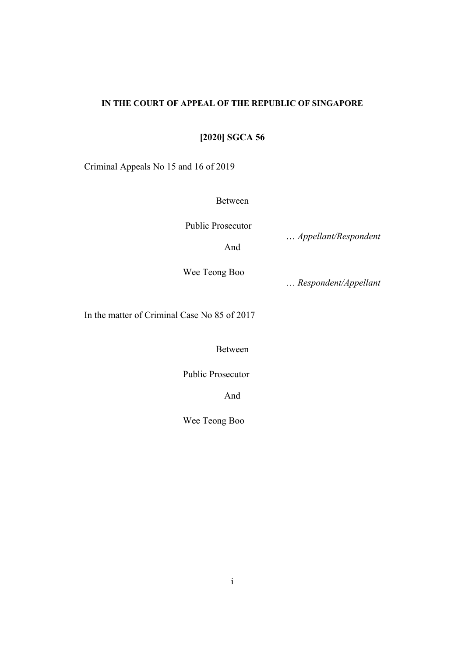# **IN THE COURT OF APPEAL OF THE REPUBLIC OF SINGAPORE**

**[2020] SGCA 56**

Criminal Appeals No 15 and 16 of 2019

Between

Public Prosecutor

And

… *Appellant/Respondent* 

Wee Teong Boo

… *Respondent/Appellant*

In the matter of Criminal Case No 85 of 2017

Between

Public Prosecutor

And

Wee Teong Boo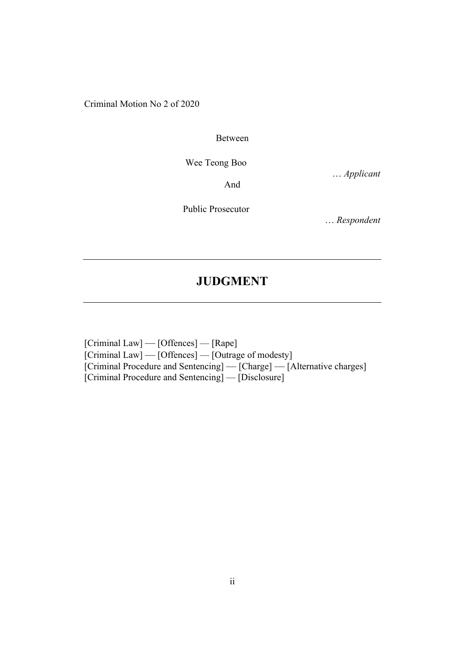Criminal Motion No 2 of 2020

Between

Wee Teong Boo

… *Applicant* 

And

Public Prosecutor

… *Respondent*

# **JUDGMENT**

[Criminal Law] — [Offences] — [Rape] [Criminal Law] — [Offences] — [Outrage of modesty] [Criminal Procedure and Sentencing] — [Charge] — [Alternative charges] [Criminal Procedure and Sentencing] — [Disclosure]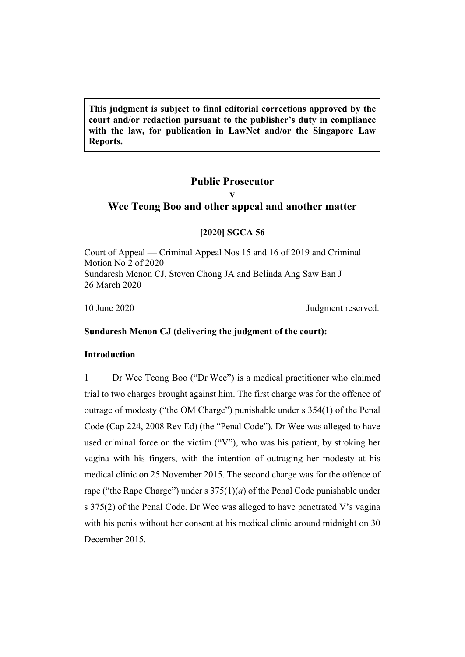**This judgment is subject to final editorial corrections approved by the court and/or redaction pursuant to the publisher's duty in compliance with the law, for publication in LawNet and/or the Singapore Law Reports.**

# **Public Prosecutor v Wee Teong Boo and other appeal and another matter**

# **[2020] SGCA 56**

Court of Appeal — Criminal Appeal Nos 15 and 16 of 2019 and Criminal Motion No 2 of 2020 Sundaresh Menon CJ, Steven Chong JA and Belinda Ang Saw Ean J 26 March 2020

10 June 2020 Judgment reserved.

# **Sundaresh Menon CJ (delivering the judgment of the court):**

# **Introduction**

1 Dr Wee Teong Boo ("Dr Wee") is a medical practitioner who claimed trial to two charges brought against him. The first charge was for the offence of outrage of modesty ("the OM Charge") punishable under s 354(1) of the Penal Code (Cap 224, 2008 Rev Ed) (the "Penal Code"). Dr Wee was alleged to have used criminal force on the victim ("V"), who was his patient, by stroking her vagina with his fingers, with the intention of outraging her modesty at his medical clinic on 25 November 2015. The second charge was for the offence of rape ("the Rape Charge") under s  $375(1)(a)$  of the Penal Code punishable under s 375(2) of the Penal Code. Dr Wee was alleged to have penetrated V's vagina with his penis without her consent at his medical clinic around midnight on 30 December 2015.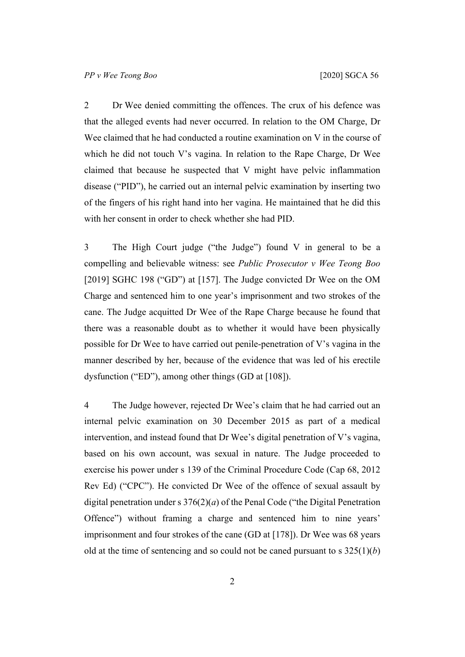2 Dr Wee denied committing the offences. The crux of his defence was that the alleged events had never occurred. In relation to the OM Charge, Dr Wee claimed that he had conducted a routine examination on V in the course of which he did not touch V's vagina. In relation to the Rape Charge, Dr Wee claimed that because he suspected that V might have pelvic inflammation disease ("PID"), he carried out an internal pelvic examination by inserting two of the fingers of his right hand into her vagina. He maintained that he did this with her consent in order to check whether she had PID.

3 The High Court judge ("the Judge") found V in general to be a compelling and believable witness: see *Public Prosecutor v Wee Teong Boo*  [2019] SGHC 198 ("GD") at [157]. The Judge convicted Dr Wee on the OM Charge and sentenced him to one year's imprisonment and two strokes of the cane. The Judge acquitted Dr Wee of the Rape Charge because he found that there was a reasonable doubt as to whether it would have been physically possible for Dr Wee to have carried out penile-penetration of V's vagina in the manner described by her, because of the evidence that was led of his erectile dysfunction ("ED"), among other things (GD at [108]).

4 The Judge however, rejected Dr Wee's claim that he had carried out an internal pelvic examination on 30 December 2015 as part of a medical intervention, and instead found that Dr Wee's digital penetration of V's vagina, based on his own account, was sexual in nature. The Judge proceeded to exercise his power under s 139 of the Criminal Procedure Code (Cap 68, 2012 Rev Ed) ("CPC"). He convicted Dr Wee of the offence of sexual assault by digital penetration under s 376(2)(*a*) of the Penal Code ("the Digital Penetration Offence") without framing a charge and sentenced him to nine years' imprisonment and four strokes of the cane (GD at [178]). Dr Wee was 68 years old at the time of sentencing and so could not be caned pursuant to s 325(1)(*b*)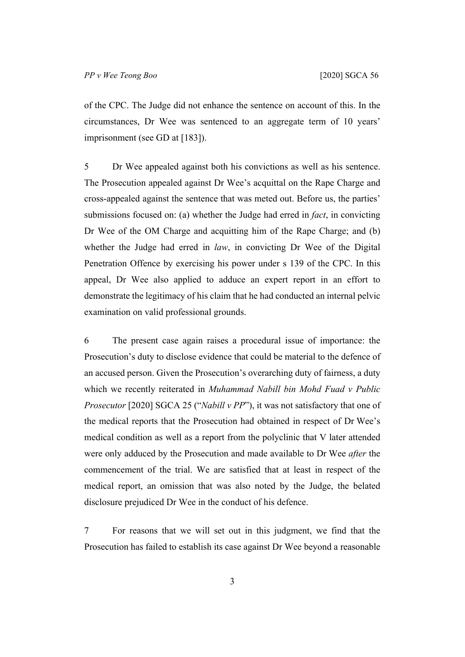of the CPC. The Judge did not enhance the sentence on account of this. In the circumstances, Dr Wee was sentenced to an aggregate term of 10 years' imprisonment (see GD at [183]).

5 Dr Wee appealed against both his convictions as well as his sentence. The Prosecution appealed against Dr Wee's acquittal on the Rape Charge and cross-appealed against the sentence that was meted out. Before us, the parties' submissions focused on: (a) whether the Judge had erred in *fact*, in convicting Dr Wee of the OM Charge and acquitting him of the Rape Charge; and (b) whether the Judge had erred in *law*, in convicting Dr Wee of the Digital Penetration Offence by exercising his power under s 139 of the CPC. In this appeal, Dr Wee also applied to adduce an expert report in an effort to demonstrate the legitimacy of his claim that he had conducted an internal pelvic examination on valid professional grounds.

6 The present case again raises a procedural issue of importance: the Prosecution's duty to disclose evidence that could be material to the defence of an accused person. Given the Prosecution's overarching duty of fairness, a duty which we recently reiterated in *Muhammad Nabill bin Mohd Fuad v Public Prosecutor* [2020] SGCA 25 ("*Nabill v PP*"), it was not satisfactory that one of the medical reports that the Prosecution had obtained in respect of Dr Wee's medical condition as well as a report from the polyclinic that V later attended were only adduced by the Prosecution and made available to Dr Wee *after* the commencement of the trial. We are satisfied that at least in respect of the medical report, an omission that was also noted by the Judge, the belated disclosure prejudiced Dr Wee in the conduct of his defence.

7 For reasons that we will set out in this judgment, we find that the Prosecution has failed to establish its case against Dr Wee beyond a reasonable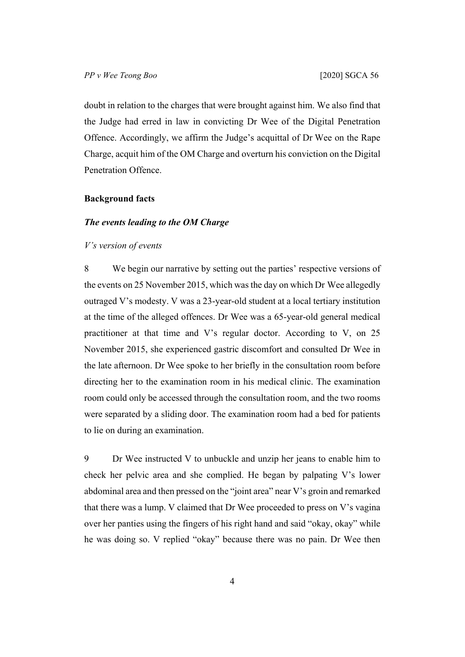doubt in relation to the charges that were brought against him. We also find that the Judge had erred in law in convicting Dr Wee of the Digital Penetration Offence. Accordingly, we affirm the Judge's acquittal of Dr Wee on the Rape Charge, acquit him of the OM Charge and overturn his conviction on the Digital Penetration Offence.

#### **Background facts**

## *The events leading to the OM Charge*

#### *V's version of events*

8 We begin our narrative by setting out the parties' respective versions of the events on 25 November 2015, which was the day on which Dr Wee allegedly outraged V's modesty. V was a 23-year-old student at a local tertiary institution at the time of the alleged offences. Dr Wee was a 65-year-old general medical practitioner at that time and V's regular doctor. According to V, on 25 November 2015, she experienced gastric discomfort and consulted Dr Wee in the late afternoon. Dr Wee spoke to her briefly in the consultation room before directing her to the examination room in his medical clinic. The examination room could only be accessed through the consultation room, and the two rooms were separated by a sliding door. The examination room had a bed for patients to lie on during an examination.

<span id="page-5-0"></span>9 Dr Wee instructed V to unbuckle and unzip her jeans to enable him to check her pelvic area and she complied. He began by palpating V's lower abdominal area and then pressed on the "joint area" near V's groin and remarked that there was a lump. V claimed that Dr Wee proceeded to press on V's vagina over her panties using the fingers of his right hand and said "okay, okay" while he was doing so. V replied "okay" because there was no pain. Dr Wee then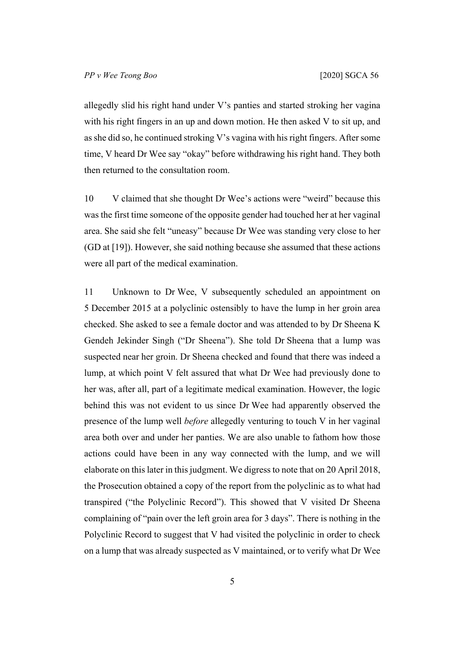allegedly slid his right hand under V's panties and started stroking her vagina with his right fingers in an up and down motion. He then asked V to sit up, and as she did so, he continued stroking V's vagina with his right fingers. After some time, V heard Dr Wee say "okay" before withdrawing his right hand. They both then returned to the consultation room.

10 V claimed that she thought Dr Wee's actions were "weird" because this was the first time someone of the opposite gender had touched her at her vaginal area. She said she felt "uneasy" because Dr Wee was standing very close to her (GD at [19]). However, she said nothing because she assumed that these actions were all part of the medical examination.

<span id="page-6-0"></span>11 Unknown to Dr Wee, V subsequently scheduled an appointment on 5 December 2015 at a polyclinic ostensibly to have the lump in her groin area checked. She asked to see a female doctor and was attended to by Dr Sheena K Gendeh Jekinder Singh ("Dr Sheena"). She told Dr Sheena that a lump was suspected near her groin. Dr Sheena checked and found that there was indeed a lump, at which point V felt assured that what Dr Wee had previously done to her was, after all, part of a legitimate medical examination. However, the logic behind this was not evident to us since Dr Wee had apparently observed the presence of the lump well *before* allegedly venturing to touch V in her vaginal area both over and under her panties. We are also unable to fathom how those actions could have been in any way connected with the lump, and we will elaborate on this later in this judgment. We digress to note that on 20 April 2018, the Prosecution obtained a copy of the report from the polyclinic as to what had transpired ("the Polyclinic Record"). This showed that V visited Dr Sheena complaining of "pain over the left groin area for 3 days". There is nothing in the Polyclinic Record to suggest that V had visited the polyclinic in order to check on a lump that was already suspected as V maintained, or to verify what Dr Wee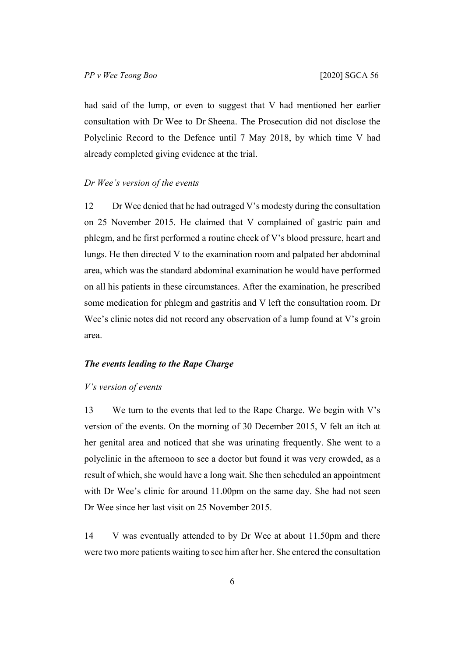had said of the lump, or even to suggest that V had mentioned her earlier consultation with Dr Wee to Dr Sheena. The Prosecution did not disclose the Polyclinic Record to the Defence until 7 May 2018, by which time V had already completed giving evidence at the trial.

#### *Dr Wee's version of the events*

12 Dr Wee denied that he had outraged V's modesty during the consultation on 25 November 2015. He claimed that V complained of gastric pain and phlegm, and he first performed a routine check of V's blood pressure, heart and lungs. He then directed V to the examination room and palpated her abdominal area, which was the standard abdominal examination he would have performed on all his patients in these circumstances. After the examination, he prescribed some medication for phlegm and gastritis and V left the consultation room. Dr Wee's clinic notes did not record any observation of a lump found at V's groin area.

# *The events leading to the Rape Charge*

#### *V's version of events*

13 We turn to the events that led to the Rape Charge. We begin with V's version of the events. On the morning of 30 December 2015, V felt an itch at her genital area and noticed that she was urinating frequently. She went to a polyclinic in the afternoon to see a doctor but found it was very crowded, as a result of which, she would have a long wait. She then scheduled an appointment with Dr Wee's clinic for around 11.00pm on the same day. She had not seen Dr Wee since her last visit on 25 November 2015.

14 V was eventually attended to by Dr Wee at about 11.50pm and there were two more patients waiting to see him after her. She entered the consultation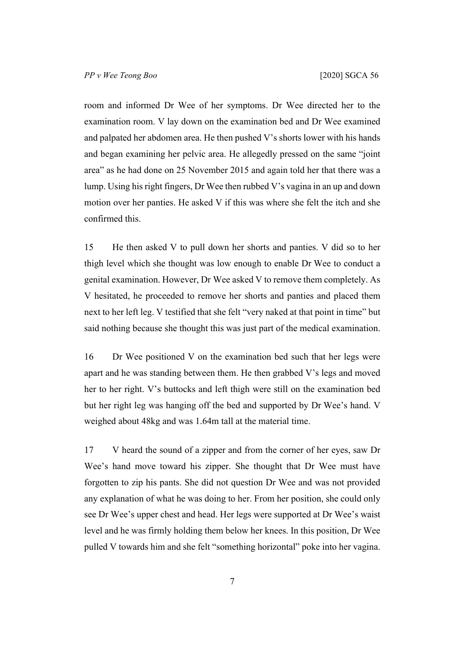room and informed Dr Wee of her symptoms. Dr Wee directed her to the examination room. V lay down on the examination bed and Dr Wee examined and palpated her abdomen area. He then pushed V's shorts lower with his hands and began examining her pelvic area. He allegedly pressed on the same "joint area" as he had done on 25 November 2015 and again told her that there was a lump. Using his right fingers, Dr Wee then rubbed V's vagina in an up and down motion over her panties. He asked V if this was where she felt the itch and she confirmed this.

15 He then asked V to pull down her shorts and panties. V did so to her thigh level which she thought was low enough to enable Dr Wee to conduct a genital examination. However, Dr Wee asked V to remove them completely. As V hesitated, he proceeded to remove her shorts and panties and placed them next to her left leg. V testified that she felt "very naked at that point in time" but said nothing because she thought this was just part of the medical examination.

16 Dr Wee positioned V on the examination bed such that her legs were apart and he was standing between them. He then grabbed V's legs and moved her to her right. V's buttocks and left thigh were still on the examination bed but her right leg was hanging off the bed and supported by Dr Wee's hand. V weighed about 48kg and was 1.64m tall at the material time.

17 V heard the sound of a zipper and from the corner of her eyes, saw Dr Wee's hand move toward his zipper. She thought that Dr Wee must have forgotten to zip his pants. She did not question Dr Wee and was not provided any explanation of what he was doing to her. From her position, she could only see Dr Wee's upper chest and head. Her legs were supported at Dr Wee's waist level and he was firmly holding them below her knees. In this position, Dr Wee pulled V towards him and she felt "something horizontal" poke into her vagina.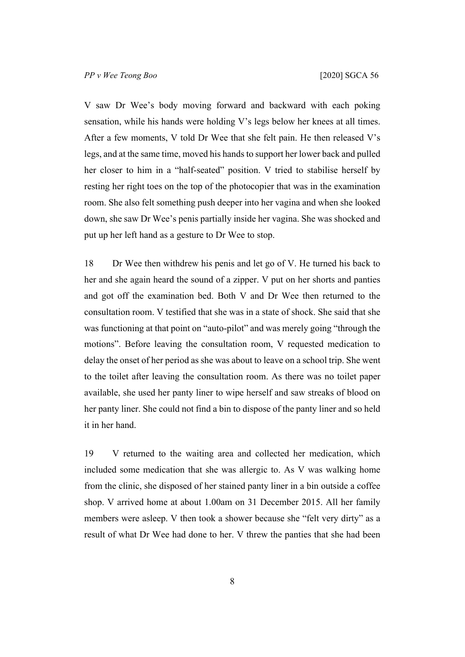V saw Dr Wee's body moving forward and backward with each poking sensation, while his hands were holding V's legs below her knees at all times. After a few moments, V told Dr Wee that she felt pain. He then released V's legs, and at the same time, moved his hands to support her lower back and pulled her closer to him in a "half-seated" position. V tried to stabilise herself by resting her right toes on the top of the photocopier that was in the examination room. She also felt something push deeper into her vagina and when she looked down, she saw Dr Wee's penis partially inside her vagina. She was shocked and put up her left hand as a gesture to Dr Wee to stop.

18 Dr Wee then withdrew his penis and let go of V. He turned his back to her and she again heard the sound of a zipper. V put on her shorts and panties and got off the examination bed. Both V and Dr Wee then returned to the consultation room. V testified that she was in a state of shock. She said that she was functioning at that point on "auto-pilot" and was merely going "through the motions". Before leaving the consultation room, V requested medication to delay the onset of her period as she was about to leave on a school trip. She went to the toilet after leaving the consultation room. As there was no toilet paper available, she used her panty liner to wipe herself and saw streaks of blood on her panty liner. She could not find a bin to dispose of the panty liner and so held it in her hand.

19 V returned to the waiting area and collected her medication, which included some medication that she was allergic to. As V was walking home from the clinic, she disposed of her stained panty liner in a bin outside a coffee shop. V arrived home at about 1.00am on 31 December 2015. All her family members were asleep. V then took a shower because she "felt very dirty" as a result of what Dr Wee had done to her. V threw the panties that she had been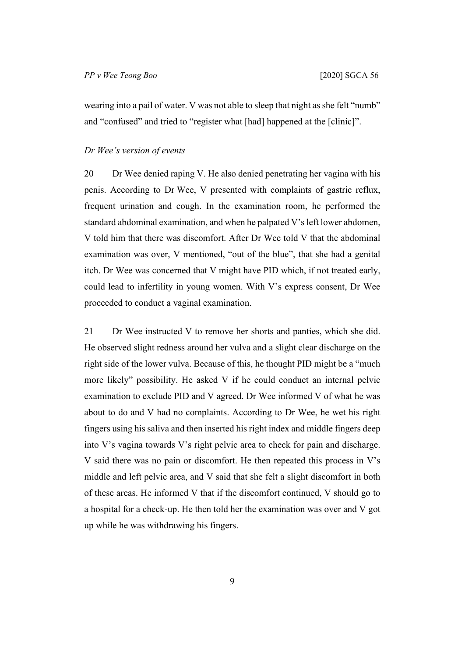wearing into a pail of water. V was not able to sleep that night as she felt "numb" and "confused" and tried to "register what [had] happened at the [clinic]".

## *Dr Wee's version of events*

20 Dr Wee denied raping V. He also denied penetrating her vagina with his penis. According to Dr Wee, V presented with complaints of gastric reflux, frequent urination and cough. In the examination room, he performed the standard abdominal examination, and when he palpated V's left lower abdomen, V told him that there was discomfort. After Dr Wee told V that the abdominal examination was over, V mentioned, "out of the blue", that she had a genital itch. Dr Wee was concerned that V might have PID which, if not treated early, could lead to infertility in young women. With V's express consent, Dr Wee proceeded to conduct a vaginal examination.

21 Dr Wee instructed V to remove her shorts and panties, which she did. He observed slight redness around her vulva and a slight clear discharge on the right side of the lower vulva. Because of this, he thought PID might be a "much more likely" possibility. He asked V if he could conduct an internal pelvic examination to exclude PID and V agreed. Dr Wee informed V of what he was about to do and V had no complaints. According to Dr Wee, he wet his right fingers using his saliva and then inserted his right index and middle fingers deep into V's vagina towards V's right pelvic area to check for pain and discharge. V said there was no pain or discomfort. He then repeated this process in V's middle and left pelvic area, and V said that she felt a slight discomfort in both of these areas. He informed V that if the discomfort continued, V should go to a hospital for a check-up. He then told her the examination was over and V got up while he was withdrawing his fingers.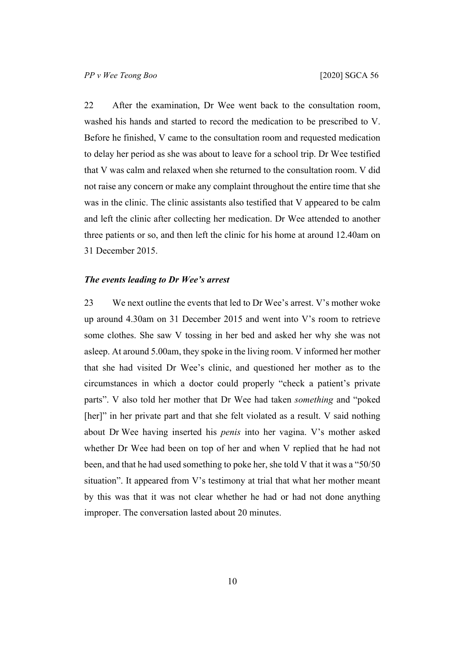22 After the examination, Dr Wee went back to the consultation room, washed his hands and started to record the medication to be prescribed to V. Before he finished, V came to the consultation room and requested medication to delay her period as she was about to leave for a school trip. Dr Wee testified that V was calm and relaxed when she returned to the consultation room. V did not raise any concern or make any complaint throughout the entire time that she was in the clinic. The clinic assistants also testified that V appeared to be calm and left the clinic after collecting her medication. Dr Wee attended to another three patients or so, and then left the clinic for his home at around 12.40am on 31 December 2015.

### *The events leading to Dr Wee's arrest*

23 We next outline the events that led to Dr Wee's arrest. V's mother woke up around 4.30am on 31 December 2015 and went into V's room to retrieve some clothes. She saw V tossing in her bed and asked her why she was not asleep. At around 5.00am, they spoke in the living room. V informed her mother that she had visited Dr Wee's clinic, and questioned her mother as to the circumstances in which a doctor could properly "check a patient's private parts". V also told her mother that Dr Wee had taken *something* and "poked [her]" in her private part and that she felt violated as a result. V said nothing about Dr Wee having inserted his *penis* into her vagina. V's mother asked whether Dr Wee had been on top of her and when V replied that he had not been, and that he had used something to poke her, she told V that it was a "50/50 situation". It appeared from V's testimony at trial that what her mother meant by this was that it was not clear whether he had or had not done anything improper. The conversation lasted about 20 minutes.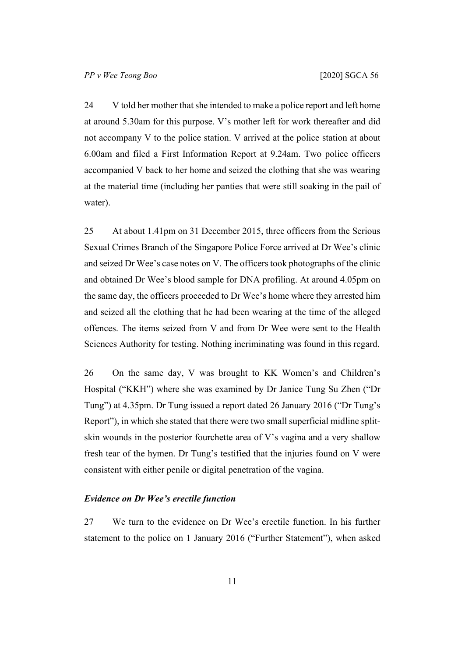24 V told her mother that she intended to make a police report and left home at around 5.30am for this purpose. V's mother left for work thereafter and did not accompany V to the police station. V arrived at the police station at about 6.00am and filed a First Information Report at 9.24am. Two police officers accompanied V back to her home and seized the clothing that she was wearing at the material time (including her panties that were still soaking in the pail of water).

<span id="page-12-0"></span>25 At about 1.41pm on 31 December 2015, three officers from the Serious Sexual Crimes Branch of the Singapore Police Force arrived at Dr Wee's clinic and seized Dr Wee's case notes on V. The officers took photographs of the clinic and obtained Dr Wee's blood sample for DNA profiling. At around 4.05pm on the same day, the officers proceeded to Dr Wee's home where they arrested him and seized all the clothing that he had been wearing at the time of the alleged offences. The items seized from V and from Dr Wee were sent to the Health Sciences Authority for testing. Nothing incriminating was found in this regard.

26 On the same day, V was brought to KK Women's and Children's Hospital ("KKH") where she was examined by Dr Janice Tung Su Zhen ("Dr Tung") at 4.35pm. Dr Tung issued a report dated 26 January 2016 ("Dr Tung's Report"), in which she stated that there were two small superficial midline splitskin wounds in the posterior fourchette area of V's vagina and a very shallow fresh tear of the hymen. Dr Tung's testified that the injuries found on V were consistent with either penile or digital penetration of the vagina.

# *Evidence on Dr Wee's erectile function*

27 We turn to the evidence on Dr Wee's erectile function. In his further statement to the police on 1 January 2016 ("Further Statement"), when asked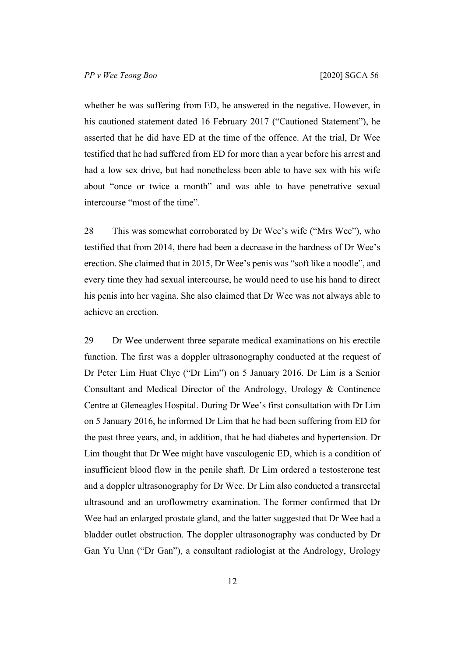whether he was suffering from ED, he answered in the negative. However, in his cautioned statement dated 16 February 2017 ("Cautioned Statement"), he asserted that he did have ED at the time of the offence. At the trial, Dr Wee testified that he had suffered from ED for more than a year before his arrest and had a low sex drive, but had nonetheless been able to have sex with his wife about "once or twice a month" and was able to have penetrative sexual intercourse "most of the time".

28 This was somewhat corroborated by Dr Wee's wife ("Mrs Wee"), who testified that from 2014, there had been a decrease in the hardness of Dr Wee's erection. She claimed that in 2015, Dr Wee's penis was "soft like a noodle", and every time they had sexual intercourse, he would need to use his hand to direct his penis into her vagina. She also claimed that Dr Wee was not always able to achieve an erection.

29 Dr Wee underwent three separate medical examinations on his erectile function. The first was a doppler ultrasonography conducted at the request of Dr Peter Lim Huat Chye ("Dr Lim") on 5 January 2016. Dr Lim is a Senior Consultant and Medical Director of the Andrology, Urology & Continence Centre at Gleneagles Hospital. During Dr Wee's first consultation with Dr Lim on 5 January 2016, he informed Dr Lim that he had been suffering from ED for the past three years, and, in addition, that he had diabetes and hypertension. Dr Lim thought that Dr Wee might have vasculogenic ED, which is a condition of insufficient blood flow in the penile shaft. Dr Lim ordered a testosterone test and a doppler ultrasonography for Dr Wee. Dr Lim also conducted a transrectal ultrasound and an uroflowmetry examination. The former confirmed that Dr Wee had an enlarged prostate gland, and the latter suggested that Dr Wee had a bladder outlet obstruction. The doppler ultrasonography was conducted by Dr Gan Yu Unn ("Dr Gan"), a consultant radiologist at the Andrology, Urology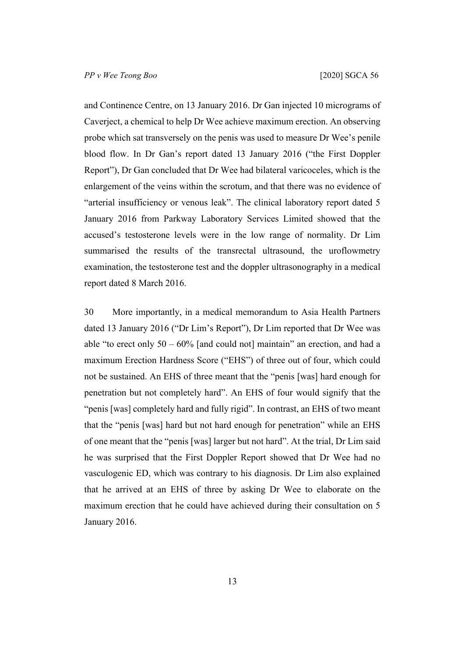and Continence Centre, on 13 January 2016. Dr Gan injected 10 micrograms of Caverject, a chemical to help Dr Wee achieve maximum erection. An observing probe which sat transversely on the penis was used to measure Dr Wee's penile blood flow. In Dr Gan's report dated 13 January 2016 ("the First Doppler Report"), Dr Gan concluded that Dr Wee had bilateral varicoceles, which is the enlargement of the veins within the scrotum, and that there was no evidence of "arterial insufficiency or venous leak". The clinical laboratory report dated 5 January 2016 from Parkway Laboratory Services Limited showed that the accused's testosterone levels were in the low range of normality. Dr Lim summarised the results of the transrectal ultrasound, the uroflowmetry examination, the testosterone test and the doppler ultrasonography in a medical report dated 8 March 2016.

30 More importantly, in a medical memorandum to Asia Health Partners dated 13 January 2016 ("Dr Lim's Report"), Dr Lim reported that Dr Wee was able "to erect only  $50 - 60\%$  [and could not] maintain" an erection, and had a maximum Erection Hardness Score ("EHS") of three out of four, which could not be sustained. An EHS of three meant that the "penis [was] hard enough for penetration but not completely hard". An EHS of four would signify that the "penis [was] completely hard and fully rigid". In contrast, an EHS of two meant that the "penis [was] hard but not hard enough for penetration" while an EHS of one meant that the "penis [was] larger but not hard". At the trial, Dr Lim said he was surprised that the First Doppler Report showed that Dr Wee had no vasculogenic ED, which was contrary to his diagnosis. Dr Lim also explained that he arrived at an EHS of three by asking Dr Wee to elaborate on the maximum erection that he could have achieved during their consultation on 5 January 2016.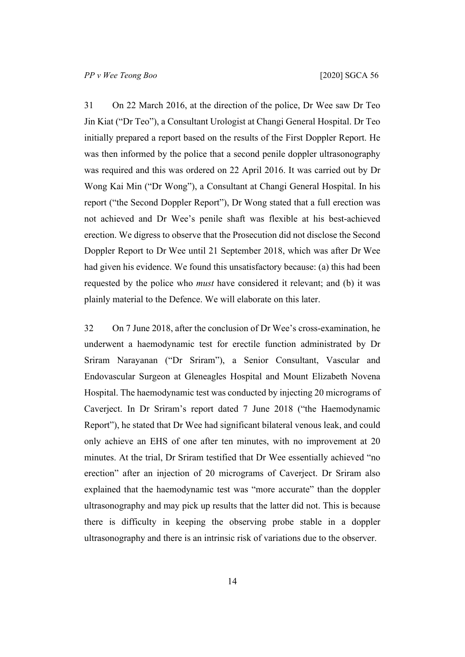31 On 22 March 2016, at the direction of the police, Dr Wee saw Dr Teo Jin Kiat ("Dr Teo"), a Consultant Urologist at Changi General Hospital. Dr Teo initially prepared a report based on the results of the First Doppler Report. He was then informed by the police that a second penile doppler ultrasonography was required and this was ordered on 22 April 2016. It was carried out by Dr Wong Kai Min ("Dr Wong"), a Consultant at Changi General Hospital. In his report ("the Second Doppler Report"), Dr Wong stated that a full erection was not achieved and Dr Wee's penile shaft was flexible at his best-achieved erection. We digress to observe that the Prosecution did not disclose the Second Doppler Report to Dr Wee until 21 September 2018, which was after Dr Wee had given his evidence. We found this unsatisfactory because: (a) this had been requested by the police who *must* have considered it relevant; and (b) it was plainly material to the Defence. We will elaborate on this later.

32 On 7 June 2018, after the conclusion of Dr Wee's cross-examination, he underwent a haemodynamic test for erectile function administrated by Dr Sriram Narayanan ("Dr Sriram"), a Senior Consultant, Vascular and Endovascular Surgeon at Gleneagles Hospital and Mount Elizabeth Novena Hospital. The haemodynamic test was conducted by injecting 20 micrograms of Caverject. In Dr Sriram's report dated 7 June 2018 ("the Haemodynamic Report"), he stated that Dr Wee had significant bilateral venous leak, and could only achieve an EHS of one after ten minutes, with no improvement at 20 minutes. At the trial, Dr Sriram testified that Dr Wee essentially achieved "no erection" after an injection of 20 micrograms of Caverject. Dr Sriram also explained that the haemodynamic test was "more accurate" than the doppler ultrasonography and may pick up results that the latter did not. This is because there is difficulty in keeping the observing probe stable in a doppler ultrasonography and there is an intrinsic risk of variations due to the observer.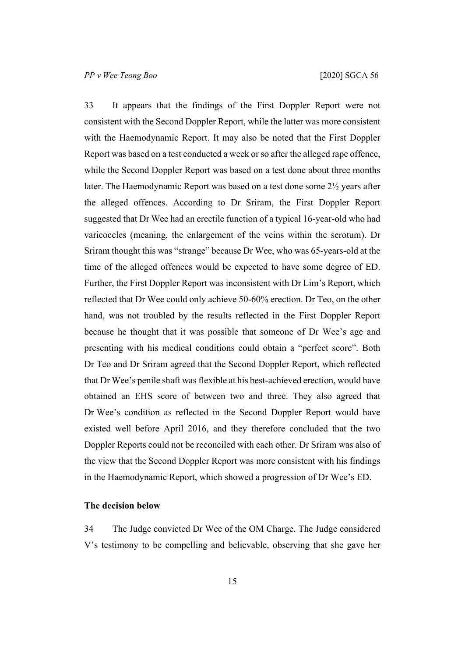<span id="page-16-0"></span>33 It appears that the findings of the First Doppler Report were not consistent with the Second Doppler Report, while the latter was more consistent with the Haemodynamic Report. It may also be noted that the First Doppler Report was based on a test conducted a week or so after the alleged rape offence, while the Second Doppler Report was based on a test done about three months later. The Haemodynamic Report was based on a test done some 2½ years after the alleged offences. According to Dr Sriram, the First Doppler Report suggested that Dr Wee had an erectile function of a typical 16-year-old who had varicoceles (meaning, the enlargement of the veins within the scrotum). Dr Sriram thought this was "strange" because Dr Wee, who was 65-years-old at the time of the alleged offences would be expected to have some degree of ED. Further, the First Doppler Report was inconsistent with Dr Lim's Report, which reflected that Dr Wee could only achieve 50-60% erection. Dr Teo, on the other hand, was not troubled by the results reflected in the First Doppler Report because he thought that it was possible that someone of Dr Wee's age and presenting with his medical conditions could obtain a "perfect score". Both Dr Teo and Dr Sriram agreed that the Second Doppler Report, which reflected that Dr Wee's penile shaft was flexible at his best-achieved erection, would have obtained an EHS score of between two and three. They also agreed that Dr Wee's condition as reflected in the Second Doppler Report would have existed well before April 2016, and they therefore concluded that the two Doppler Reports could not be reconciled with each other. Dr Sriram was also of the view that the Second Doppler Report was more consistent with his findings in the Haemodynamic Report, which showed a progression of Dr Wee's ED.

#### **The decision below**

34 The Judge convicted Dr Wee of the OM Charge. The Judge considered V's testimony to be compelling and believable, observing that she gave her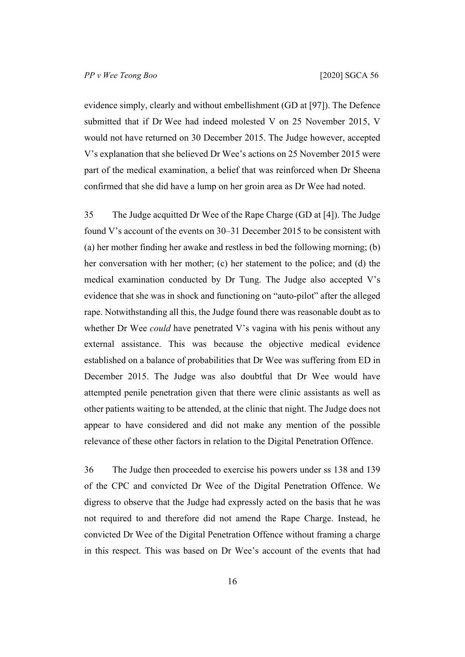evidence simply, clearly and without embellishment (GD at [97]). The Defence submitted that if Dr Wee had indeed molested V on 25 November 2015, V would not have returned on 30 December 2015. The Judge however, accepted V's explanation that she believed Dr Wee's actions on 25 November 2015 were part of the medical examination, a belief that was reinforced when Dr Sheena confirmed that she did have a lump on her groin area as Dr Wee had noted.

35 The Judge acquitted Dr Wee of the Rape Charge (GD at [4]). The Judge found V's account of the events on 30–31 December 2015 to be consistent with (a) her mother finding her awake and restless in bed the following morning; (b) her conversation with her mother; (c) her statement to the police; and (d) the medical examination conducted by Dr Tung. The Judge also accepted V's evidence that she was in shock and functioning on "auto-pilot" after the alleged rape. Notwithstanding all this, the Judge found there was reasonable doubt as to whether Dr Wee *could* have penetrated V's vagina with his penis without any external assistance. This was because the objective medical evidence established on a balance of probabilities that Dr Wee was suffering from ED in December 2015. The Judge was also doubtful that Dr Wee would have attempted penile penetration given that there were clinic assistants as well as other patients waiting to be attended, at the clinic that night. The Judge does not appear to have considered and did not make any mention of the possible relevance of these other factors in relation to the Digital Penetration Offence.

36 The Judge then proceeded to exercise his powers under ss 138 and 139 of the CPC and convicted Dr Wee of the Digital Penetration Offence. We digress to observe that the Judge had expressly acted on the basis that he was not required to and therefore did not amend the Rape Charge. Instead, he convicted Dr Wee of the Digital Penetration Offence without framing a charge in this respect. This was based on Dr Wee's account of the events that had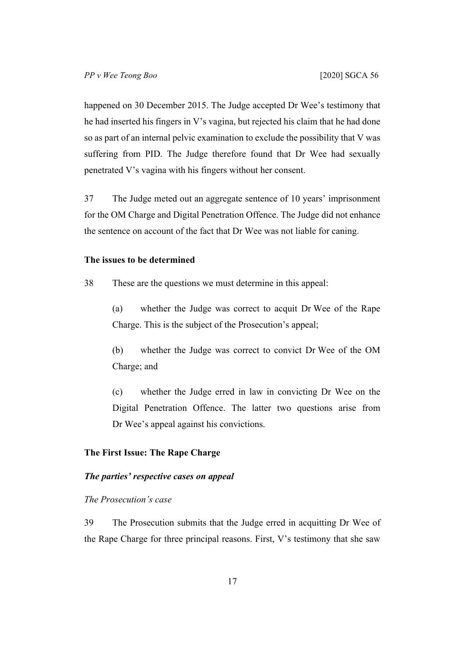happened on 30 December 2015. The Judge accepted Dr Wee's testimony that he had inserted his fingers in V's vagina, but rejected his claim that he had done so as part of an internal pelvic examination to exclude the possibility that V was suffering from PID. The Judge therefore found that Dr Wee had sexually penetrated V's vagina with his fingers without her consent.

37 The Judge meted out an aggregate sentence of 10 years' imprisonment for the OM Charge and Digital Penetration Offence. The Judge did not enhance the sentence on account of the fact that Dr Wee was not liable for caning.

# **The issues to be determined**

38 These are the questions we must determine in this appeal:

(a) whether the Judge was correct to acquit Dr Wee of the Rape Charge. This is the subject of the Prosecution's appeal;

(b) whether the Judge was correct to convict Dr Wee of the OM Charge; and

(c) whether the Judge erred in law in convicting Dr Wee on the Digital Penetration Offence. The latter two questions arise from Dr Wee's appeal against his convictions.

# **The First Issue: The Rape Charge**

# *The parties' respective cases on appeal*

## *The Prosecution's case*

39 The Prosecution submits that the Judge erred in acquitting Dr Wee of the Rape Charge for three principal reasons. First, V's testimony that she saw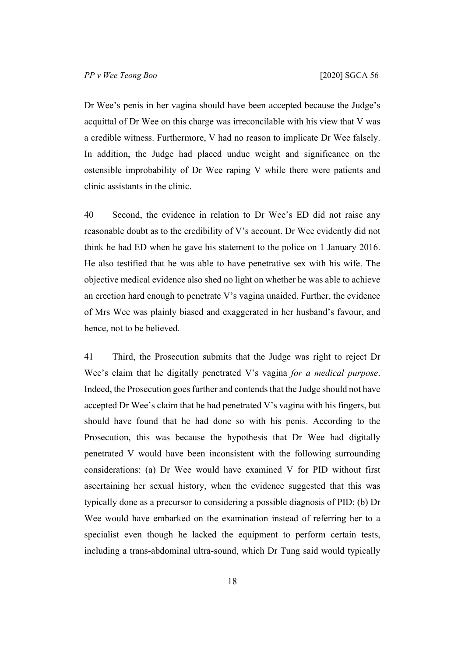Dr Wee's penis in her vagina should have been accepted because the Judge's acquittal of Dr Wee on this charge was irreconcilable with his view that V was a credible witness. Furthermore, V had no reason to implicate Dr Wee falsely. In addition, the Judge had placed undue weight and significance on the ostensible improbability of Dr Wee raping V while there were patients and clinic assistants in the clinic.

40 Second, the evidence in relation to Dr Wee's ED did not raise any reasonable doubt as to the credibility of V's account. Dr Wee evidently did not think he had ED when he gave his statement to the police on 1 January 2016. He also testified that he was able to have penetrative sex with his wife. The objective medical evidence also shed no light on whether he was able to achieve an erection hard enough to penetrate V's vagina unaided. Further, the evidence of Mrs Wee was plainly biased and exaggerated in her husband's favour, and hence, not to be believed.

41 Third, the Prosecution submits that the Judge was right to reject Dr Wee's claim that he digitally penetrated V's vagina *for a medical purpose*. Indeed, the Prosecution goes further and contends that the Judge should not have accepted Dr Wee's claim that he had penetrated V's vagina with his fingers, but should have found that he had done so with his penis. According to the Prosecution, this was because the hypothesis that Dr Wee had digitally penetrated V would have been inconsistent with the following surrounding considerations: (a) Dr Wee would have examined V for PID without first ascertaining her sexual history, when the evidence suggested that this was typically done as a precursor to considering a possible diagnosis of PID; (b) Dr Wee would have embarked on the examination instead of referring her to a specialist even though he lacked the equipment to perform certain tests, including a trans-abdominal ultra-sound, which Dr Tung said would typically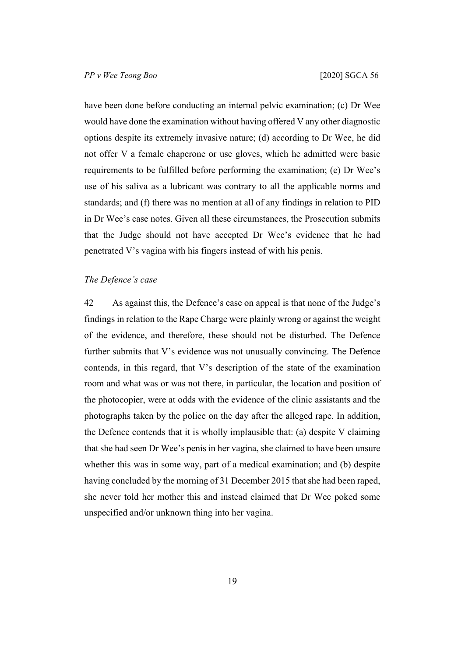have been done before conducting an internal pelvic examination; (c) Dr Wee would have done the examination without having offered V any other diagnostic options despite its extremely invasive nature; (d) according to Dr Wee, he did not offer V a female chaperone or use gloves, which he admitted were basic requirements to be fulfilled before performing the examination; (e) Dr Wee's use of his saliva as a lubricant was contrary to all the applicable norms and standards; and (f) there was no mention at all of any findings in relation to PID in Dr Wee's case notes. Given all these circumstances, the Prosecution submits that the Judge should not have accepted Dr Wee's evidence that he had penetrated V's vagina with his fingers instead of with his penis.

## *The Defence's case*

42 As against this, the Defence's case on appeal is that none of the Judge's findings in relation to the Rape Charge were plainly wrong or against the weight of the evidence, and therefore, these should not be disturbed. The Defence further submits that V's evidence was not unusually convincing. The Defence contends, in this regard, that V's description of the state of the examination room and what was or was not there, in particular, the location and position of the photocopier, were at odds with the evidence of the clinic assistants and the photographs taken by the police on the day after the alleged rape. In addition, the Defence contends that it is wholly implausible that: (a) despite V claiming that she had seen Dr Wee's penis in her vagina, she claimed to have been unsure whether this was in some way, part of a medical examination; and (b) despite having concluded by the morning of 31 December 2015 that she had been raped, she never told her mother this and instead claimed that Dr Wee poked some unspecified and/or unknown thing into her vagina.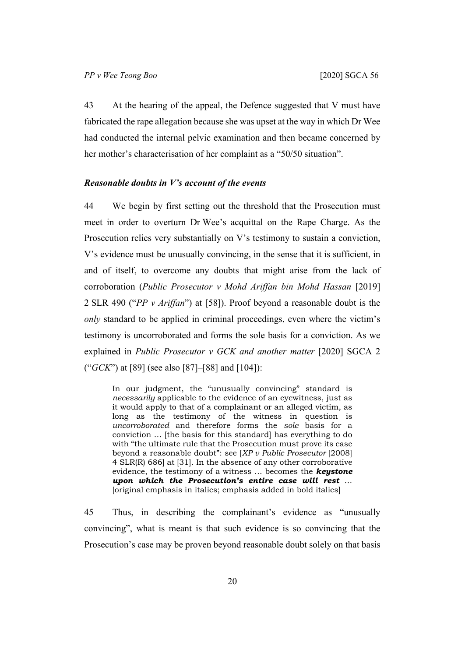43 At the hearing of the appeal, the Defence suggested that V must have fabricated the rape allegation because she was upset at the way in which Dr Wee had conducted the internal pelvic examination and then became concerned by her mother's characterisation of her complaint as a "50/50 situation".

#### *Reasonable doubts in V's account of the events*

44 We begin by first setting out the threshold that the Prosecution must meet in order to overturn Dr Wee's acquittal on the Rape Charge. As the Prosecution relies very substantially on V's testimony to sustain a conviction, V's evidence must be unusually convincing, in the sense that it is sufficient, in and of itself, to overcome any doubts that might arise from the lack of corroboration (*Public Prosecutor v Mohd Ariffan bin Mohd Hassan* [2019] 2 SLR 490 ("*PP v Ariffan*") at [58]). Proof beyond a reasonable doubt is the *only* standard to be applied in criminal proceedings, even where the victim's testimony is uncorroborated and forms the sole basis for a conviction. As we explained in *Public Prosecutor v GCK and another matter* [2020] SGCA 2 ("*GCK*") at [89] (see also [87]–[88] and [104]):

In our judgment, the "unusually convincing" standard is *necessarily* applicable to the evidence of an eyewitness, just as it would apply to that of a complainant or an alleged victim, as long as the testimony of the witness in question is *uncorroborated* and therefore forms the *sole* basis for a conviction … [the basis for this standard] has everything to do with "the ultimate rule that the Prosecution must prove its case beyond a reasonable doubt": see [*XP v Public Prosecutor* [2008] 4 SLR(R) 686] at [31]. In the absence of any other corroborative evidence, the testimony of a witness … becomes the *keystone upon which the Prosecution's entire case will rest* … [original emphasis in italics; emphasis added in bold italics]

45 Thus, in describing the complainant's evidence as "unusually convincing", what is meant is that such evidence is so convincing that the Prosecution's case may be proven beyond reasonable doubt solely on that basis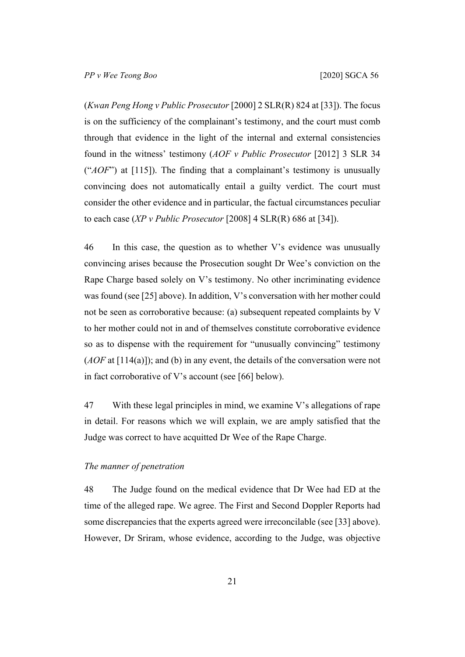(*Kwan Peng Hong v Public Prosecutor* [2000] 2 SLR(R) 824 at [33]). The focus is on the sufficiency of the complainant's testimony, and the court must comb through that evidence in the light of the internal and external consistencies found in the witness' testimony (*AOF v Public Prosecutor* [2012] 3 SLR 34 ("*AOF*") at [115]). The finding that a complainant's testimony is unusually convincing does not automatically entail a guilty verdict. The court must consider the other evidence and in particular, the factual circumstances peculiar to each case (*XP v Public Prosecutor* [2008] 4 SLR(R) 686 at [34]).

46 In this case, the question as to whether V's evidence was unusually convincing arises because the Prosecution sought Dr Wee's conviction on the Rape Charge based solely on V's testimony. No other incriminating evidence was found (see [\[25](#page-12-0)] above). In addition, V's conversation with her mother could not be seen as corroborative because: (a) subsequent repeated complaints by V to her mother could not in and of themselves constitute corroborative evidence so as to dispense with the requirement for "unusually convincing" testimony (*AOF* at [114(a)]); and (b) in any event, the details of the conversation were not in fact corroborative of V's account (see [[66\]](#page-35-0) below).

47 With these legal principles in mind, we examine V's allegations of rape in detail. For reasons which we will explain, we are amply satisfied that the Judge was correct to have acquitted Dr Wee of the Rape Charge.

# *The manner of penetration*

48 The Judge found on the medical evidence that Dr Wee had ED at the time of the alleged rape. We agree. The First and Second Doppler Reports had some discrepancies that the experts agreed were irreconcilable (see [\[33](#page-16-0)] above). However, Dr Sriram, whose evidence, according to the Judge, was objective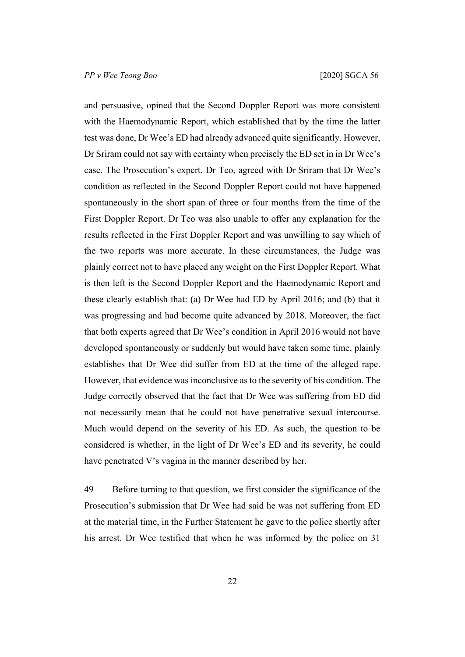and persuasive, opined that the Second Doppler Report was more consistent with the Haemodynamic Report, which established that by the time the latter test was done, Dr Wee's ED had already advanced quite significantly. However, Dr Sriram could not say with certainty when precisely the ED set in in Dr Wee's case. The Prosecution's expert, Dr Teo, agreed with Dr Sriram that Dr Wee's condition as reflected in the Second Doppler Report could not have happened spontaneously in the short span of three or four months from the time of the First Doppler Report. Dr Teo was also unable to offer any explanation for the results reflected in the First Doppler Report and was unwilling to say which of the two reports was more accurate. In these circumstances, the Judge was plainly correct not to have placed any weight on the First Doppler Report. What is then left is the Second Doppler Report and the Haemodynamic Report and these clearly establish that: (a) Dr Wee had ED by April 2016; and (b) that it was progressing and had become quite advanced by 2018. Moreover, the fact that both experts agreed that Dr Wee's condition in April 2016 would not have developed spontaneously or suddenly but would have taken some time, plainly establishes that Dr Wee did suffer from ED at the time of the alleged rape. However, that evidence was inconclusive as to the severity of his condition. The Judge correctly observed that the fact that Dr Wee was suffering from ED did not necessarily mean that he could not have penetrative sexual intercourse. Much would depend on the severity of his ED. As such, the question to be considered is whether, in the light of Dr Wee's ED and its severity, he could have penetrated V's vagina in the manner described by her.

49 Before turning to that question, we first consider the significance of the Prosecution's submission that Dr Wee had said he was not suffering from ED at the material time, in the Further Statement he gave to the police shortly after his arrest. Dr Wee testified that when he was informed by the police on 31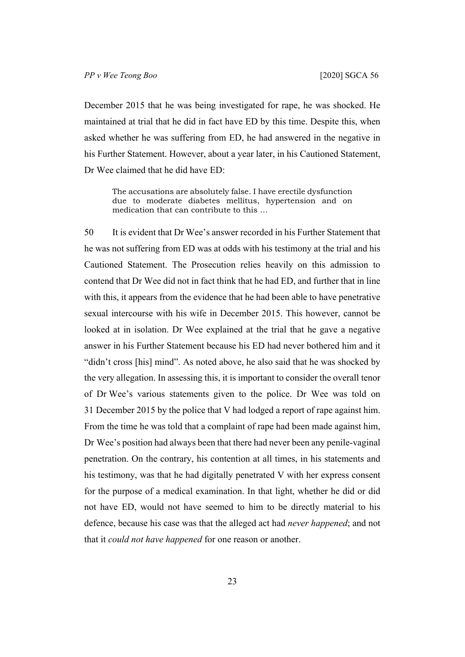December 2015 that he was being investigated for rape, he was shocked. He maintained at trial that he did in fact have ED by this time. Despite this, when asked whether he was suffering from ED, he had answered in the negative in his Further Statement. However, about a year later, in his Cautioned Statement, Dr Wee claimed that he did have ED:

The accusations are absolutely false. I have erectile dysfunction due to moderate diabetes mellitus, hypertension and on medication that can contribute to this …

50 It is evident that Dr Wee's answer recorded in his Further Statement that he was not suffering from ED was at odds with his testimony at the trial and his Cautioned Statement. The Prosecution relies heavily on this admission to contend that Dr Wee did not in fact think that he had ED, and further that in line with this, it appears from the evidence that he had been able to have penetrative sexual intercourse with his wife in December 2015. This however, cannot be looked at in isolation. Dr Wee explained at the trial that he gave a negative answer in his Further Statement because his ED had never bothered him and it "didn't cross [his] mind". As noted above, he also said that he was shocked by the very allegation. In assessing this, it is important to consider the overall tenor of Dr Wee's various statements given to the police. Dr Wee was told on 31 December 2015 by the police that V had lodged a report of rape against him. From the time he was told that a complaint of rape had been made against him, Dr Wee's position had always been that there had never been any penile-vaginal penetration. On the contrary, his contention at all times, in his statements and his testimony, was that he had digitally penetrated V with her express consent for the purpose of a medical examination. In that light, whether he did or did not have ED, would not have seemed to him to be directly material to his defence, because his case was that the alleged act had *never happened*; and not that it *could not have happened* for one reason or another.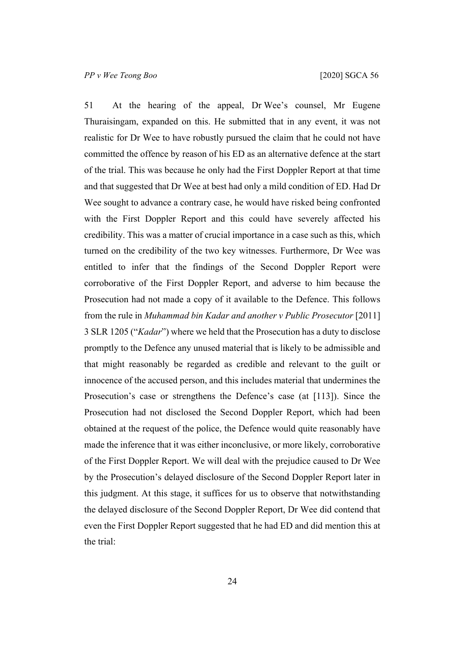51 At the hearing of the appeal, Dr Wee's counsel, Mr Eugene Thuraisingam, expanded on this. He submitted that in any event, it was not realistic for Dr Wee to have robustly pursued the claim that he could not have committed the offence by reason of his ED as an alternative defence at the start of the trial. This was because he only had the First Doppler Report at that time and that suggested that Dr Wee at best had only a mild condition of ED. Had Dr Wee sought to advance a contrary case, he would have risked being confronted with the First Doppler Report and this could have severely affected his credibility. This was a matter of crucial importance in a case such as this, which turned on the credibility of the two key witnesses. Furthermore, Dr Wee was entitled to infer that the findings of the Second Doppler Report were corroborative of the First Doppler Report, and adverse to him because the Prosecution had not made a copy of it available to the Defence. This follows from the rule in *Muhammad bin Kadar and another v Public Prosecutor* [2011] 3 SLR 1205 ("*Kadar*") where we held that the Prosecution has a duty to disclose promptly to the Defence any unused material that is likely to be admissible and that might reasonably be regarded as credible and relevant to the guilt or innocence of the accused person, and this includes material that undermines the Prosecution's case or strengthens the Defence's case (at [113]). Since the Prosecution had not disclosed the Second Doppler Report, which had been obtained at the request of the police, the Defence would quite reasonably have made the inference that it was either inconclusive, or more likely, corroborative of the First Doppler Report. We will deal with the prejudice caused to Dr Wee by the Prosecution's delayed disclosure of the Second Doppler Report later in this judgment. At this stage, it suffices for us to observe that notwithstanding the delayed disclosure of the Second Doppler Report, Dr Wee did contend that even the First Doppler Report suggested that he had ED and did mention this at the trial: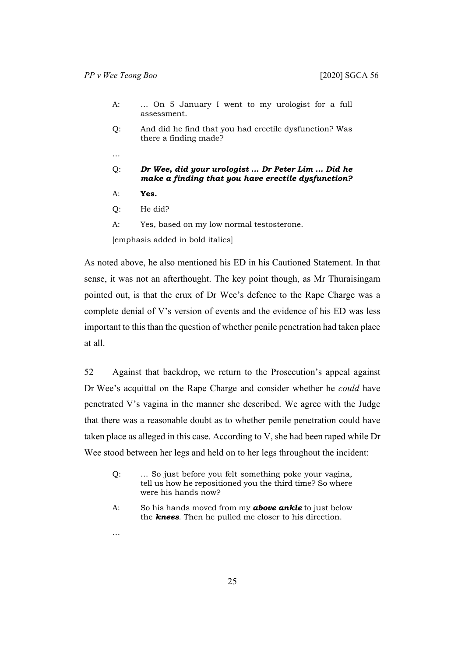- A: … On 5 January I went to my urologist for a full assessment.
- Q: And did he find that you had erectile dysfunction? Was there a finding made?
- …

#### Q: *Dr Wee, did your urologist … Dr Peter Lim … Did he make a finding that you have erectile dysfunction?*

- A: **Yes.**
- Q: He did?
- A: Yes, based on my low normal testosterone.

[emphasis added in bold italics]

As noted above, he also mentioned his ED in his Cautioned Statement. In that sense, it was not an afterthought. The key point though, as Mr Thuraisingam pointed out, is that the crux of Dr Wee's defence to the Rape Charge was a complete denial of V's version of events and the evidence of his ED was less important to this than the question of whether penile penetration had taken place at all.

52 Against that backdrop, we return to the Prosecution's appeal against Dr Wee's acquittal on the Rape Charge and consider whether he *could* have penetrated V's vagina in the manner she described. We agree with the Judge that there was a reasonable doubt as to whether penile penetration could have taken place as alleged in this case. According to V, she had been raped while Dr Wee stood between her legs and held on to her legs throughout the incident:

- Q: … So just before you felt something poke your vagina, tell us how he repositioned you the third time? So where were his hands now?
- A: So his hands moved from my *above ankle* to just below the *knees*. Then he pulled me closer to his direction.
- …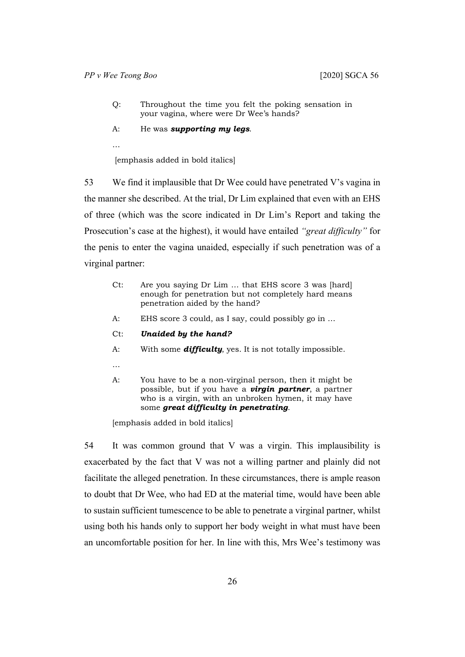- Q: Throughout the time you felt the poking sensation in your vagina, where were Dr Wee's hands?
- A: He was *supporting my legs*.

…

[emphasis added in bold italics]

53 We find it implausible that Dr Wee could have penetrated V's vagina in the manner she described. At the trial, Dr Lim explained that even with an EHS of three (which was the score indicated in Dr Lim's Report and taking the Prosecution's case at the highest), it would have entailed *"great difficulty"* for the penis to enter the vagina unaided, especially if such penetration was of a virginal partner:

- Ct: Are you saying Dr Lim … that EHS score 3 was [hard] enough for penetration but not completely hard means penetration aided by the hand?
- A: EHS score 3 could, as I say, could possibly go in …
- Ct: *Unaided by the hand?*
- A: With some *difficulty*, yes. It is not totally impossible.
- …
- A: You have to be a non-virginal person, then it might be possible, but if you have a *virgin partner*, a partner who is a virgin, with an unbroken hymen, it may have some *great difficulty in penetrating*.

[emphasis added in bold italics]

54 It was common ground that V was a virgin. This implausibility is exacerbated by the fact that V was not a willing partner and plainly did not facilitate the alleged penetration. In these circumstances, there is ample reason to doubt that Dr Wee, who had ED at the material time, would have been able to sustain sufficient tumescence to be able to penetrate a virginal partner, whilst using both his hands only to support her body weight in what must have been an uncomfortable position for her. In line with this, Mrs Wee's testimony was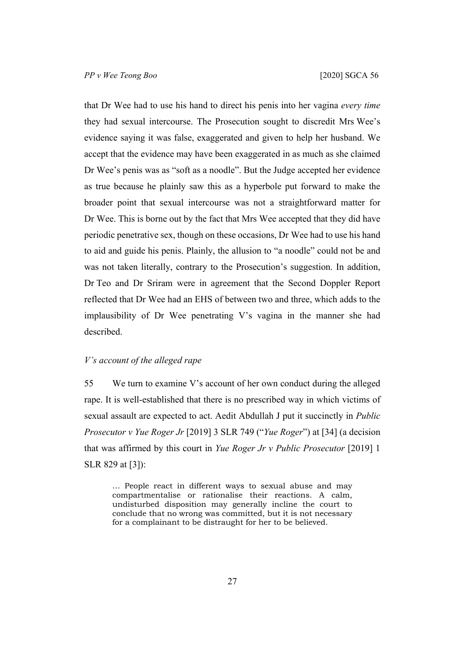that Dr Wee had to use his hand to direct his penis into her vagina *every time* they had sexual intercourse. The Prosecution sought to discredit Mrs Wee's evidence saying it was false, exaggerated and given to help her husband. We accept that the evidence may have been exaggerated in as much as she claimed Dr Wee's penis was as "soft as a noodle". But the Judge accepted her evidence as true because he plainly saw this as a hyperbole put forward to make the broader point that sexual intercourse was not a straightforward matter for Dr Wee. This is borne out by the fact that Mrs Wee accepted that they did have periodic penetrative sex, though on these occasions, Dr Wee had to use his hand to aid and guide his penis. Plainly, the allusion to "a noodle" could not be and was not taken literally, contrary to the Prosecution's suggestion. In addition, Dr Teo and Dr Sriram were in agreement that the Second Doppler Report reflected that Dr Wee had an EHS of between two and three, which adds to the implausibility of Dr Wee penetrating V's vagina in the manner she had described.

#### <span id="page-28-0"></span>*V's account of the alleged rape*

55 We turn to examine V's account of her own conduct during the alleged rape. It is well-established that there is no prescribed way in which victims of sexual assault are expected to act. Aedit Abdullah J put it succinctly in *Public Prosecutor v Yue Roger Jr* [2019] 3 SLR 749 ("*Yue Roger*") at [34] (a decision that was affirmed by this court in *Yue Roger Jr v Public Prosecutor* [2019] 1 SLR 829 at [3]):

… People react in different ways to sexual abuse and may compartmentalise or rationalise their reactions. A calm, undisturbed disposition may generally incline the court to conclude that no wrong was committed, but it is not necessary for a complainant to be distraught for her to be believed.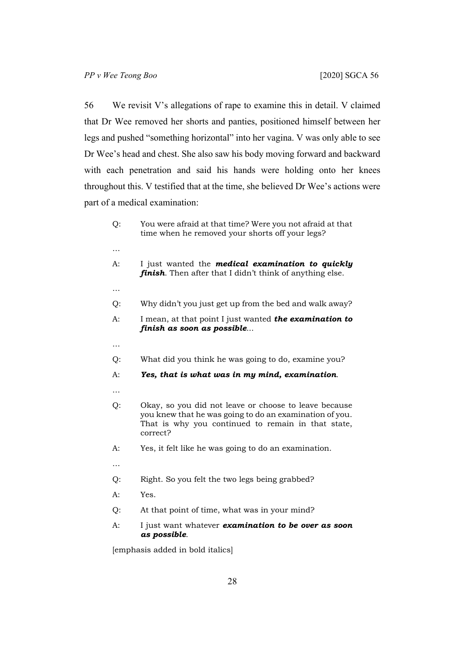56 We revisit V's allegations of rape to examine this in detail. V claimed that Dr Wee removed her shorts and panties, positioned himself between her legs and pushed "something horizontal" into her vagina. V was only able to see Dr Wee's head and chest. She also saw his body moving forward and backward with each penetration and said his hands were holding onto her knees throughout this. V testified that at the time, she believed Dr Wee's actions were part of a medical examination:

| Q:       | You were afraid at that time? Were you not afraid at that<br>time when he removed your shorts off your legs?                                                                       |
|----------|------------------------------------------------------------------------------------------------------------------------------------------------------------------------------------|
| $\cdots$ |                                                                                                                                                                                    |
| A:       | I just wanted the <b>medical examination to quickly</b><br>finish. Then after that I didn't think of anything else.                                                                |
| $\cdots$ |                                                                                                                                                                                    |
| Q:       | Why didn't you just get up from the bed and walk away?                                                                                                                             |
| A:       | I mean, at that point I just wanted the examination to<br>finish as soon as possible                                                                                               |
| $\cdots$ |                                                                                                                                                                                    |
| Q:       | What did you think he was going to do, examine you?                                                                                                                                |
| $A$ :    | Yes, that is what was in my mind, examination.                                                                                                                                     |
| $\cdots$ |                                                                                                                                                                                    |
| Q:       | Okay, so you did not leave or choose to leave because<br>you knew that he was going to do an examination of you.<br>That is why you continued to remain in that state,<br>correct? |
| A:       | Yes, it felt like he was going to do an examination.                                                                                                                               |
| $\cdots$ |                                                                                                                                                                                    |
| Q:       | Right. So you felt the two legs being grabbed?                                                                                                                                     |
| A:       | Yes.                                                                                                                                                                               |
| Q:       | At that point of time, what was in your mind?                                                                                                                                      |
| $A$ :    | I just want whatever examination to be over as soon<br>as possible.                                                                                                                |

[emphasis added in bold italics]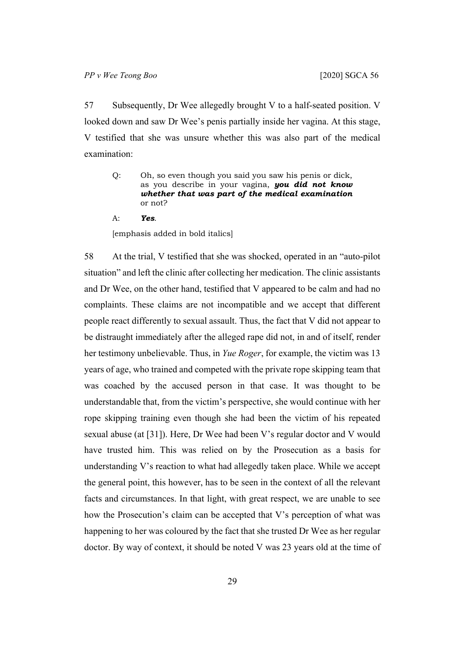57 Subsequently, Dr Wee allegedly brought V to a half-seated position. V looked down and saw Dr Wee's penis partially inside her vagina. At this stage, V testified that she was unsure whether this was also part of the medical examination:

- Q: Oh, so even though you said you saw his penis or dick, as you describe in your vagina, *you did not know whether that was part of the medical examination* or not?
- A: *Yes*.

[emphasis added in bold italics]

58 At the trial, V testified that she was shocked, operated in an "auto-pilot situation" and left the clinic after collecting her medication. The clinic assistants and Dr Wee, on the other hand, testified that V appeared to be calm and had no complaints. These claims are not incompatible and we accept that different people react differently to sexual assault. Thus, the fact that V did not appear to be distraught immediately after the alleged rape did not, in and of itself, render her testimony unbelievable. Thus, in *Yue Roger*, for example, the victim was 13 years of age, who trained and competed with the private rope skipping team that was coached by the accused person in that case. It was thought to be understandable that, from the victim's perspective, she would continue with her rope skipping training even though she had been the victim of his repeated sexual abuse (at [31]). Here, Dr Wee had been V's regular doctor and V would have trusted him. This was relied on by the Prosecution as a basis for understanding V's reaction to what had allegedly taken place. While we accept the general point, this however, has to be seen in the context of all the relevant facts and circumstances. In that light, with great respect, we are unable to see how the Prosecution's claim can be accepted that V's perception of what was happening to her was coloured by the fact that she trusted Dr Wee as her regular doctor. By way of context, it should be noted V was 23 years old at the time of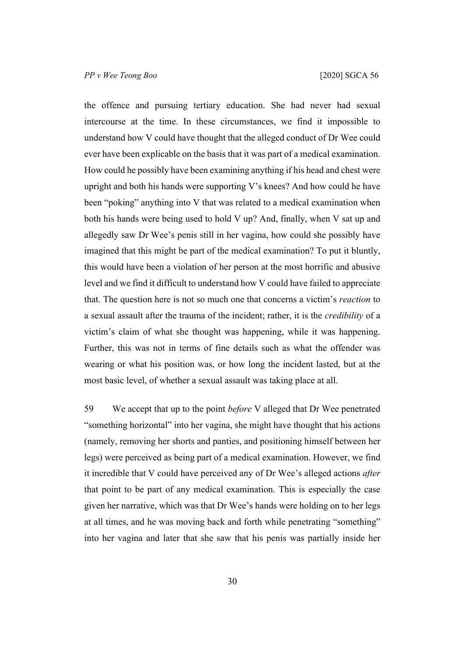the offence and pursuing tertiary education. She had never had sexual intercourse at the time. In these circumstances, we find it impossible to understand how V could have thought that the alleged conduct of Dr Wee could ever have been explicable on the basis that it was part of a medical examination. How could he possibly have been examining anything if his head and chest were upright and both his hands were supporting V's knees? And how could he have been "poking" anything into V that was related to a medical examination when both his hands were being used to hold V up? And, finally, when V sat up and allegedly saw Dr Wee's penis still in her vagina, how could she possibly have imagined that this might be part of the medical examination? To put it bluntly, this would have been a violation of her person at the most horrific and abusive level and we find it difficult to understand how V could have failed to appreciate that. The question here is not so much one that concerns a victim's *reaction* to a sexual assault after the trauma of the incident; rather, it is the *credibility* of a victim's claim of what she thought was happening, while it was happening. Further, this was not in terms of fine details such as what the offender was wearing or what his position was, or how long the incident lasted, but at the most basic level, of whether a sexual assault was taking place at all.

<span id="page-31-0"></span>59 We accept that up to the point *before* V alleged that Dr Wee penetrated "something horizontal" into her vagina, she might have thought that his actions (namely, removing her shorts and panties, and positioning himself between her legs) were perceived as being part of a medical examination. However, we find it incredible that V could have perceived any of Dr Wee's alleged actions *after* that point to be part of any medical examination. This is especially the case given her narrative, which was that Dr Wee's hands were holding on to her legs at all times, and he was moving back and forth while penetrating "something" into her vagina and later that she saw that his penis was partially inside her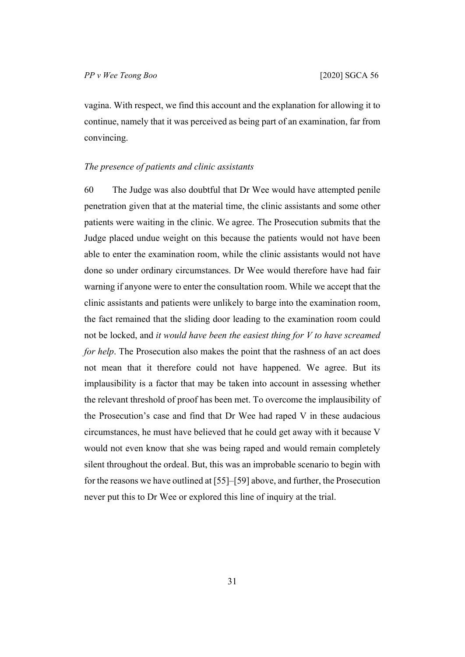vagina. With respect, we find this account and the explanation for allowing it to continue, namely that it was perceived as being part of an examination, far from convincing.

## *The presence of patients and clinic assistants*

60 The Judge was also doubtful that Dr Wee would have attempted penile penetration given that at the material time, the clinic assistants and some other patients were waiting in the clinic. We agree. The Prosecution submits that the Judge placed undue weight on this because the patients would not have been able to enter the examination room, while the clinic assistants would not have done so under ordinary circumstances. Dr Wee would therefore have had fair warning if anyone were to enter the consultation room. While we accept that the clinic assistants and patients were unlikely to barge into the examination room, the fact remained that the sliding door leading to the examination room could not be locked, and *it would have been the easiest thing for V to have screamed for help*. The Prosecution also makes the point that the rashness of an act does not mean that it therefore could not have happened. We agree. But its implausibility is a factor that may be taken into account in assessing whether the relevant threshold of proof has been met. To overcome the implausibility of the Prosecution's case and find that Dr Wee had raped V in these audacious circumstances, he must have believed that he could get away with it because V would not even know that she was being raped and would remain completely silent throughout the ordeal. But, this was an improbable scenario to begin with for the reasons we have outlined at [[55\]](#page-28-0)–[[59\]](#page-31-0) above, and further, the Prosecution never put this to Dr Wee or explored this line of inquiry at the trial.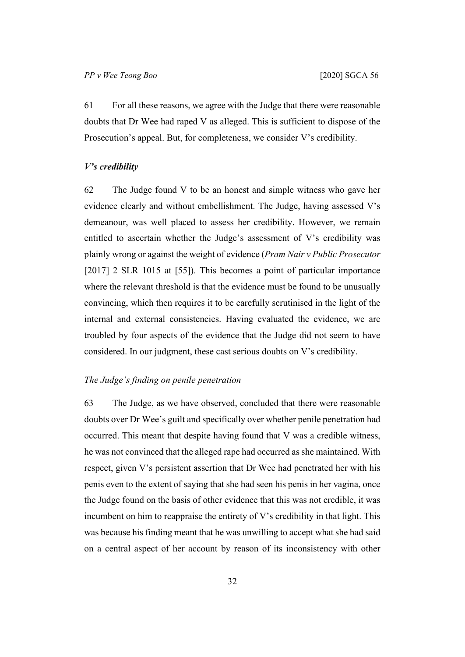61 For all these reasons, we agree with the Judge that there were reasonable doubts that Dr Wee had raped V as alleged. This is sufficient to dispose of the Prosecution's appeal. But, for completeness, we consider V's credibility.

## *V's credibility*

62 The Judge found V to be an honest and simple witness who gave her evidence clearly and without embellishment. The Judge, having assessed V's demeanour, was well placed to assess her credibility. However, we remain entitled to ascertain whether the Judge's assessment of V's credibility was plainly wrong or against the weight of evidence (*Pram Nair v Public Prosecutor*  [2017] 2 SLR 1015 at [55]). This becomes a point of particular importance where the relevant threshold is that the evidence must be found to be unusually convincing, which then requires it to be carefully scrutinised in the light of the internal and external consistencies. Having evaluated the evidence, we are troubled by four aspects of the evidence that the Judge did not seem to have considered. In our judgment, these cast serious doubts on V's credibility.

# *The Judge's finding on penile penetration*

63 The Judge, as we have observed, concluded that there were reasonable doubts over Dr Wee's guilt and specifically over whether penile penetration had occurred. This meant that despite having found that V was a credible witness, he was not convinced that the alleged rape had occurred as she maintained. With respect, given V's persistent assertion that Dr Wee had penetrated her with his penis even to the extent of saying that she had seen his penis in her vagina, once the Judge found on the basis of other evidence that this was not credible, it was incumbent on him to reappraise the entirety of V's credibility in that light. This was because his finding meant that he was unwilling to accept what she had said on a central aspect of her account by reason of its inconsistency with other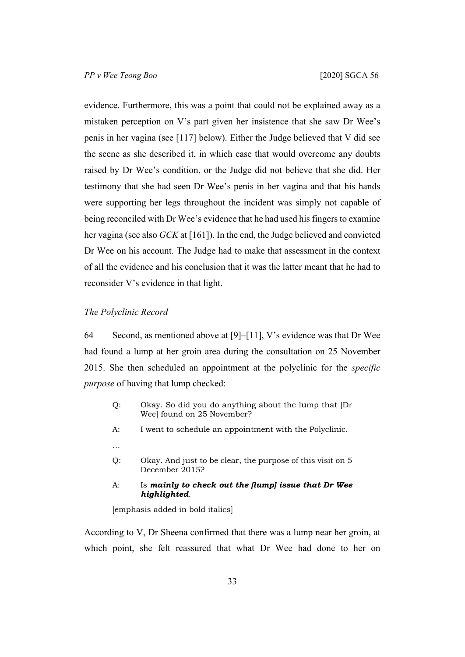evidence. Furthermore, this was a point that could not be explained away as a mistaken perception on V's part given her insistence that she saw Dr Wee's penis in her vagina (see [[117\]](#page-63-0) below). Either the Judge believed that V did see the scene as she described it, in which case that would overcome any doubts raised by Dr Wee's condition, or the Judge did not believe that she did. Her testimony that she had seen Dr Wee's penis in her vagina and that his hands were supporting her legs throughout the incident was simply not capable of being reconciled with Dr Wee's evidence that he had used his fingers to examine her vagina (see also *GCK* at [161]). In the end, the Judge believed and convicted Dr Wee on his account. The Judge had to make that assessment in the context of all the evidence and his conclusion that it was the latter meant that he had to reconsider V's evidence in that light.

## *The Polyclinic Record*

64 Second, as mentioned above at [\[9](#page-5-0)]–[\[11](#page-6-0)], V's evidence was that Dr Wee had found a lump at her groin area during the consultation on 25 November 2015. She then scheduled an appointment at the polyclinic for the *specific purpose* of having that lump checked:

- Q: Okay. So did you do anything about the lump that [Dr Wee] found on 25 November?
- A: I went to schedule an appointment with the Polyclinic.
- …
- Q: Okay. And just to be clear, the purpose of this visit on 5 December 2015?
- A: Is *mainly to check out the [lump] issue that Dr Wee highlighted*.

[emphasis added in bold italics]

According to V, Dr Sheena confirmed that there was a lump near her groin, at which point, she felt reassured that what Dr Wee had done to her on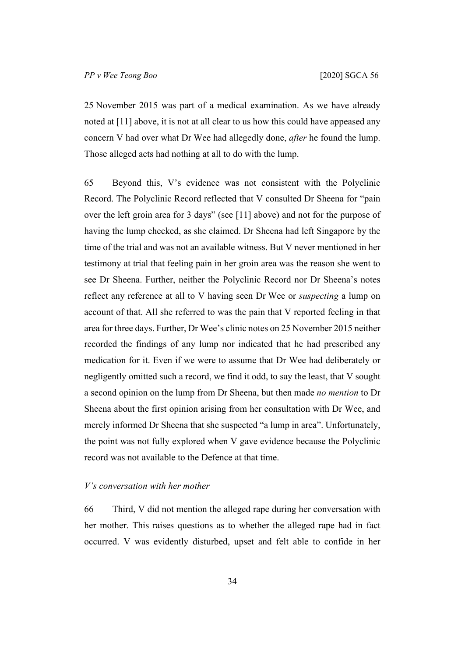25 November 2015 was part of a medical examination. As we have already noted at [\[11](#page-6-0)] above, it is not at all clear to us how this could have appeased any concern V had over what Dr Wee had allegedly done, *after* he found the lump. Those alleged acts had nothing at all to do with the lump.

65 Beyond this, V's evidence was not consistent with the Polyclinic Record. The Polyclinic Record reflected that V consulted Dr Sheena for "pain over the left groin area for 3 days" (see [\[11](#page-6-0)] above) and not for the purpose of having the lump checked, as she claimed. Dr Sheena had left Singapore by the time of the trial and was not an available witness. But V never mentioned in her testimony at trial that feeling pain in her groin area was the reason she went to see Dr Sheena. Further, neither the Polyclinic Record nor Dr Sheena's notes reflect any reference at all to V having seen Dr Wee or *suspecting* a lump on account of that. All she referred to was the pain that V reported feeling in that area for three days. Further, Dr Wee's clinic notes on 25 November 2015 neither recorded the findings of any lump nor indicated that he had prescribed any medication for it. Even if we were to assume that Dr Wee had deliberately or negligently omitted such a record, we find it odd, to say the least, that V sought a second opinion on the lump from Dr Sheena, but then made *no mention* to Dr Sheena about the first opinion arising from her consultation with Dr Wee, and merely informed Dr Sheena that she suspected "a lump in area". Unfortunately, the point was not fully explored when V gave evidence because the Polyclinic record was not available to the Defence at that time.

## <span id="page-35-0"></span>*V's conversation with her mother*

66 Third, V did not mention the alleged rape during her conversation with her mother. This raises questions as to whether the alleged rape had in fact occurred. V was evidently disturbed, upset and felt able to confide in her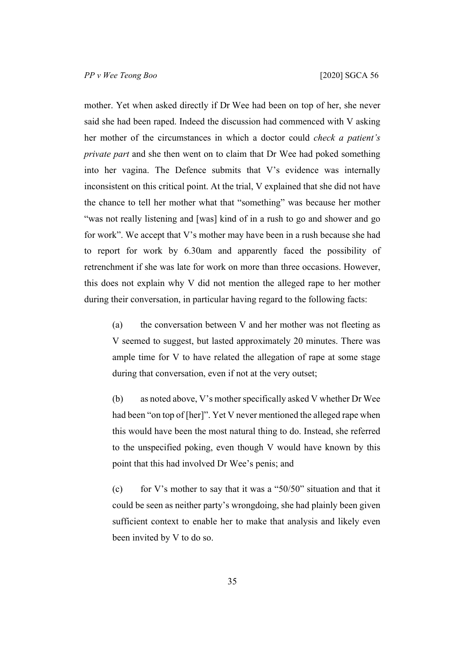mother. Yet when asked directly if Dr Wee had been on top of her, she never said she had been raped. Indeed the discussion had commenced with V asking her mother of the circumstances in which a doctor could *check a patient's private part* and she then went on to claim that Dr Wee had poked something into her vagina. The Defence submits that V's evidence was internally inconsistent on this critical point. At the trial, V explained that she did not have the chance to tell her mother what that "something" was because her mother "was not really listening and [was] kind of in a rush to go and shower and go for work". We accept that V's mother may have been in a rush because she had to report for work by 6.30am and apparently faced the possibility of retrenchment if she was late for work on more than three occasions. However, this does not explain why V did not mention the alleged rape to her mother during their conversation, in particular having regard to the following facts:

(a) the conversation between V and her mother was not fleeting as V seemed to suggest, but lasted approximately 20 minutes. There was ample time for V to have related the allegation of rape at some stage during that conversation, even if not at the very outset;

(b) as noted above, V's mother specifically asked V whether Dr Wee had been "on top of [her]". Yet V never mentioned the alleged rape when this would have been the most natural thing to do. Instead, she referred to the unspecified poking, even though V would have known by this point that this had involved Dr Wee's penis; and

(c) for V's mother to say that it was a "50/50" situation and that it could be seen as neither party's wrongdoing, she had plainly been given sufficient context to enable her to make that analysis and likely even been invited by V to do so.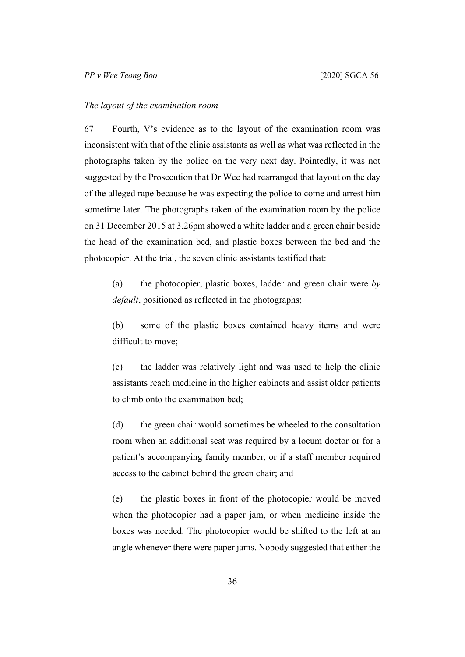#### *The layout of the examination room*

67 Fourth, V's evidence as to the layout of the examination room was inconsistent with that of the clinic assistants as well as what was reflected in the photographs taken by the police on the very next day. Pointedly, it was not suggested by the Prosecution that Dr Wee had rearranged that layout on the day of the alleged rape because he was expecting the police to come and arrest him sometime later. The photographs taken of the examination room by the police on 31 December 2015 at 3.26pm showed a white ladder and a green chair beside the head of the examination bed, and plastic boxes between the bed and the photocopier. At the trial, the seven clinic assistants testified that:

(a) the photocopier, plastic boxes, ladder and green chair were *by default*, positioned as reflected in the photographs;

(b) some of the plastic boxes contained heavy items and were difficult to move;

(c) the ladder was relatively light and was used to help the clinic assistants reach medicine in the higher cabinets and assist older patients to climb onto the examination bed;

(d) the green chair would sometimes be wheeled to the consultation room when an additional seat was required by a locum doctor or for a patient's accompanying family member, or if a staff member required access to the cabinet behind the green chair; and

(e) the plastic boxes in front of the photocopier would be moved when the photocopier had a paper jam, or when medicine inside the boxes was needed. The photocopier would be shifted to the left at an angle whenever there were paper jams. Nobody suggested that either the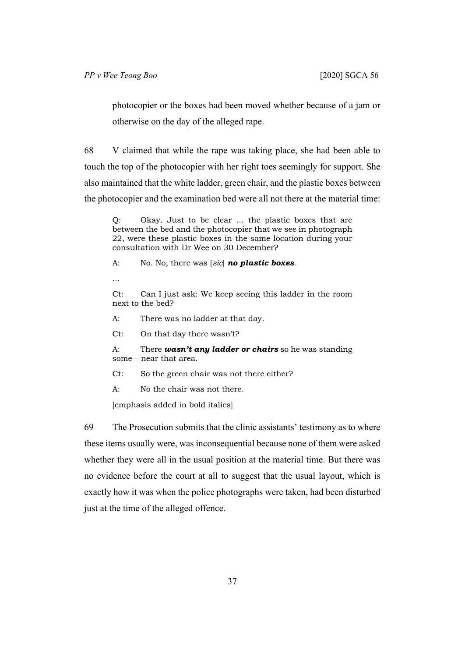photocopier or the boxes had been moved whether because of a jam or otherwise on the day of the alleged rape.

68 V claimed that while the rape was taking place, she had been able to touch the top of the photocopier with her right toes seemingly for support. She also maintained that the white ladder, green chair, and the plastic boxes between the photocopier and the examination bed were all not there at the material time:

Q: Okay. Just to be clear … the plastic boxes that are between the bed and the photocopier that we see in photograph 22, were these plastic boxes in the same location during your consultation with Dr Wee on 30 December?

A: No. No, there was [*sic*] *no plastic boxes.*

...

Ct: Can I just ask: We keep seeing this ladder in the room next to the bed?

A: There was no ladder at that day.

Ct: On that day there wasn't?

A: There *wasn't any ladder or chairs* so he was standing some – near that area.

Ct: So the green chair was not there either?

A: No the chair was not there.

[emphasis added in bold italics]

69 The Prosecution submits that the clinic assistants' testimony as to where these items usually were, was inconsequential because none of them were asked whether they were all in the usual position at the material time. But there was no evidence before the court at all to suggest that the usual layout, which is exactly how it was when the police photographs were taken, had been disturbed just at the time of the alleged offence.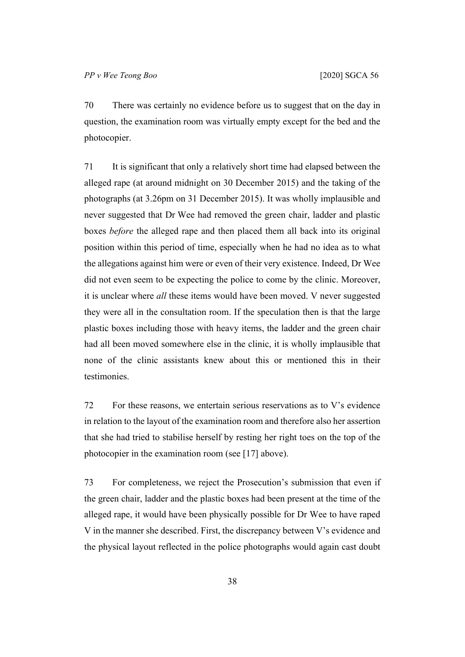70 There was certainly no evidence before us to suggest that on the day in question, the examination room was virtually empty except for the bed and the photocopier.

71 It is significant that only a relatively short time had elapsed between the alleged rape (at around midnight on 30 December 2015) and the taking of the photographs (at 3.26pm on 31 December 2015). It was wholly implausible and never suggested that Dr Wee had removed the green chair, ladder and plastic boxes *before* the alleged rape and then placed them all back into its original position within this period of time, especially when he had no idea as to what the allegations against him were or even of their very existence. Indeed, Dr Wee did not even seem to be expecting the police to come by the clinic. Moreover, it is unclear where *all* these items would have been moved. V never suggested they were all in the consultation room. If the speculation then is that the large plastic boxes including those with heavy items, the ladder and the green chair had all been moved somewhere else in the clinic, it is wholly implausible that none of the clinic assistants knew about this or mentioned this in their testimonies.

<span id="page-39-0"></span>72 For these reasons, we entertain serious reservations as to V's evidence in relation to the layout of the examination room and therefore also her assertion that she had tried to stabilise herself by resting her right toes on the top of the photocopier in the examination room (see [\[17](#page-8-0)] above).

73 For completeness, we reject the Prosecution's submission that even if the green chair, ladder and the plastic boxes had been present at the time of the alleged rape, it would have been physically possible for Dr Wee to have raped V in the manner she described. First, the discrepancy between V's evidence and the physical layout reflected in the police photographs would again cast doubt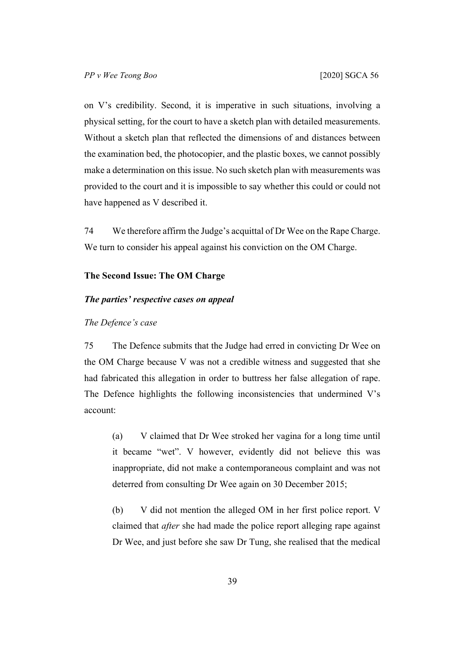on V's credibility. Second, it is imperative in such situations, involving a physical setting, for the court to have a sketch plan with detailed measurements. Without a sketch plan that reflected the dimensions of and distances between the examination bed, the photocopier, and the plastic boxes, we cannot possibly make a determination on this issue. No such sketch plan with measurements was provided to the court and it is impossible to say whether this could or could not have happened as V described it.

74 We therefore affirm the Judge's acquittal of Dr Wee on the Rape Charge. We turn to consider his appeal against his conviction on the OM Charge.

#### **The Second Issue: The OM Charge**

## *The parties' respective cases on appeal*

## *The Defence's case*

75 The Defence submits that the Judge had erred in convicting Dr Wee on the OM Charge because V was not a credible witness and suggested that she had fabricated this allegation in order to buttress her false allegation of rape. The Defence highlights the following inconsistencies that undermined V's account:

(a) V claimed that Dr Wee stroked her vagina for a long time until it became "wet". V however, evidently did not believe this was inappropriate, did not make a contemporaneous complaint and was not deterred from consulting Dr Wee again on 30 December 2015;

(b) V did not mention the alleged OM in her first police report. V claimed that *after* she had made the police report alleging rape against Dr Wee, and just before she saw Dr Tung, she realised that the medical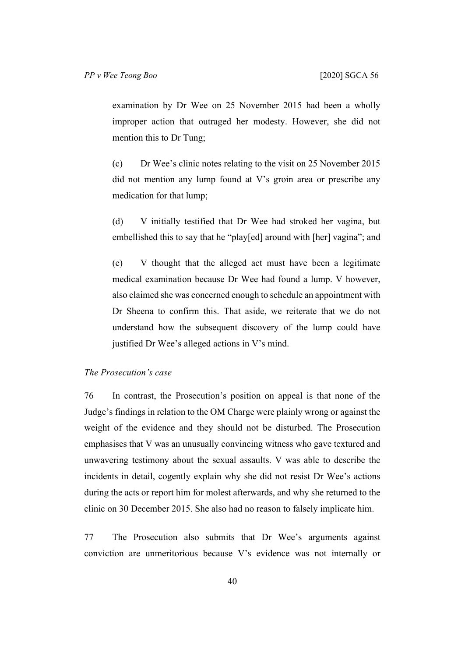examination by Dr Wee on 25 November 2015 had been a wholly improper action that outraged her modesty. However, she did not mention this to Dr Tung;

(c) Dr Wee's clinic notes relating to the visit on 25 November 2015 did not mention any lump found at V's groin area or prescribe any medication for that lump;

(d) V initially testified that Dr Wee had stroked her vagina, but embellished this to say that he "play[ed] around with [her] vagina"; and

(e) V thought that the alleged act must have been a legitimate medical examination because Dr Wee had found a lump. V however, also claimed she was concerned enough to schedule an appointment with Dr Sheena to confirm this. That aside, we reiterate that we do not understand how the subsequent discovery of the lump could have justified Dr Wee's alleged actions in V's mind.

# *The Prosecution's case*

76 In contrast, the Prosecution's position on appeal is that none of the Judge's findings in relation to the OM Charge were plainly wrong or against the weight of the evidence and they should not be disturbed. The Prosecution emphasises that V was an unusually convincing witness who gave textured and unwavering testimony about the sexual assaults. V was able to describe the incidents in detail, cogently explain why she did not resist Dr Wee's actions during the acts or report him for molest afterwards, and why she returned to the clinic on 30 December 2015. She also had no reason to falsely implicate him.

77 The Prosecution also submits that Dr Wee's arguments against conviction are unmeritorious because V's evidence was not internally or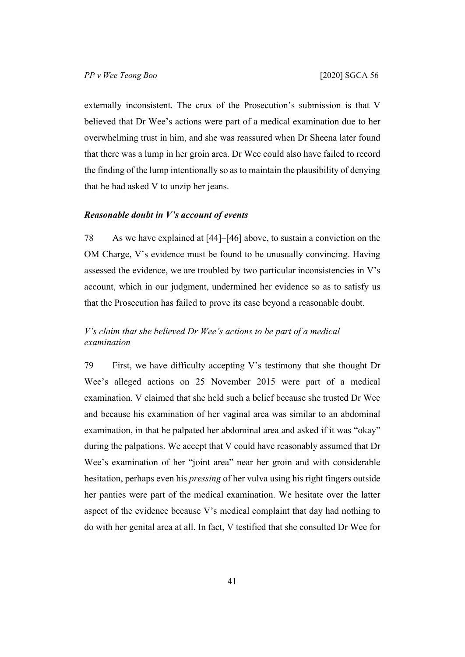externally inconsistent. The crux of the Prosecution's submission is that V believed that Dr Wee's actions were part of a medical examination due to her overwhelming trust in him, and she was reassured when Dr Sheena later found that there was a lump in her groin area. Dr Wee could also have failed to record the finding of the lump intentionally so as to maintain the plausibility of denying that he had asked V to unzip her jeans.

## *Reasonable doubt in V's account of events*

78 As we have explained at [[44\]](#page-21-0)–[[46\]](#page-22-0) above, to sustain a conviction on the OM Charge, V's evidence must be found to be unusually convincing. Having assessed the evidence, we are troubled by two particular inconsistencies in V's account, which in our judgment, undermined her evidence so as to satisfy us that the Prosecution has failed to prove its case beyond a reasonable doubt.

# *V's claim that she believed Dr Wee's actions to be part of a medical examination*

79 First, we have difficulty accepting V's testimony that she thought Dr Wee's alleged actions on 25 November 2015 were part of a medical examination. V claimed that she held such a belief because she trusted Dr Wee and because his examination of her vaginal area was similar to an abdominal examination, in that he palpated her abdominal area and asked if it was "okay" during the palpations. We accept that V could have reasonably assumed that Dr Wee's examination of her "joint area" near her groin and with considerable hesitation, perhaps even his *pressing* of her vulva using his right fingers outside her panties were part of the medical examination. We hesitate over the latter aspect of the evidence because V's medical complaint that day had nothing to do with her genital area at all. In fact, V testified that she consulted Dr Wee for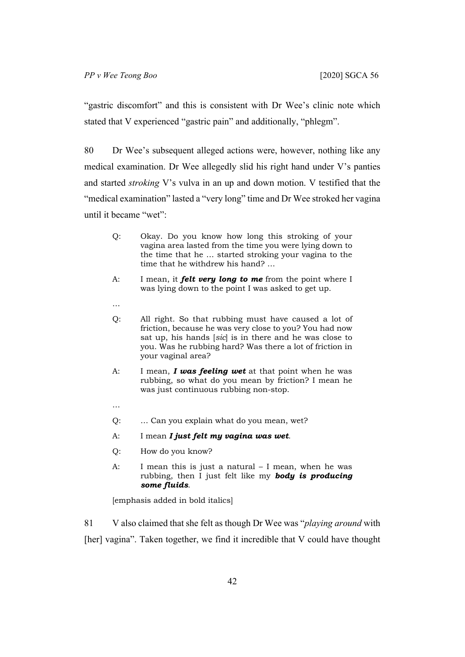"gastric discomfort" and this is consistent with Dr Wee's clinic note which stated that V experienced "gastric pain" and additionally, "phlegm".

80 Dr Wee's subsequent alleged actions were, however, nothing like any medical examination. Dr Wee allegedly slid his right hand under V's panties and started *stroking* V's vulva in an up and down motion. V testified that the "medical examination" lasted a "very long" time and Dr Wee stroked her vagina until it became "wet":

- Q: Okay. Do you know how long this stroking of your vagina area lasted from the time you were lying down to the time that he … started stroking your vagina to the time that he withdrew his hand? …
- A: I mean, it *felt very long to me* from the point where I was lying down to the point I was asked to get up.
- …
- Q: All right. So that rubbing must have caused a lot of friction, because he was very close to you? You had now sat up, his hands [*sic*] is in there and he was close to you. Was he rubbing hard? Was there a lot of friction in your vaginal area?
- A: I mean, *I was feeling wet* at that point when he was rubbing, so what do you mean by friction? I mean he was just continuous rubbing non-stop.
- …
- Q: … Can you explain what do you mean, wet?
- A: I mean *I just felt my vagina was wet*.
- Q: How do you know?
- A: I mean this is just a natural I mean, when he was rubbing, then I just felt like my *body is producing some fluids*.

[emphasis added in bold italics]

81 V also claimed that she felt as though Dr Wee was "*playing around* with [her] vagina". Taken together, we find it incredible that V could have thought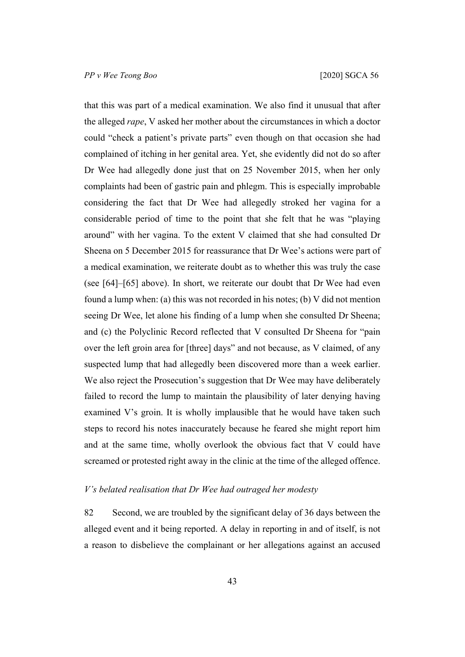that this was part of a medical examination. We also find it unusual that after the alleged *rape*, V asked her mother about the circumstances in which a doctor could "check a patient's private parts" even though on that occasion she had complained of itching in her genital area. Yet, she evidently did not do so after Dr Wee had allegedly done just that on 25 November 2015, when her only complaints had been of gastric pain and phlegm. This is especially improbable considering the fact that Dr Wee had allegedly stroked her vagina for a considerable period of time to the point that she felt that he was "playing around" with her vagina. To the extent V claimed that she had consulted Dr Sheena on 5 December 2015 for reassurance that Dr Wee's actions were part of a medical examination, we reiterate doubt as to whether this was truly the case (see [\[64](#page-34-0)]–[\[65](#page-35-0)] above). In short, we reiterate our doubt that Dr Wee had even found a lump when: (a) this was not recorded in his notes; (b) V did not mention seeing Dr Wee, let alone his finding of a lump when she consulted Dr Sheena; and (c) the Polyclinic Record reflected that V consulted Dr Sheena for "pain over the left groin area for [three] days" and not because, as V claimed, of any suspected lump that had allegedly been discovered more than a week earlier. We also reject the Prosecution's suggestion that Dr Wee may have deliberately failed to record the lump to maintain the plausibility of later denying having examined V's groin. It is wholly implausible that he would have taken such steps to record his notes inaccurately because he feared she might report him and at the same time, wholly overlook the obvious fact that V could have screamed or protested right away in the clinic at the time of the alleged offence.

#### *V's belated realisation that Dr Wee had outraged her modesty*

82 Second, we are troubled by the significant delay of 36 days between the alleged event and it being reported. A delay in reporting in and of itself, is not a reason to disbelieve the complainant or her allegations against an accused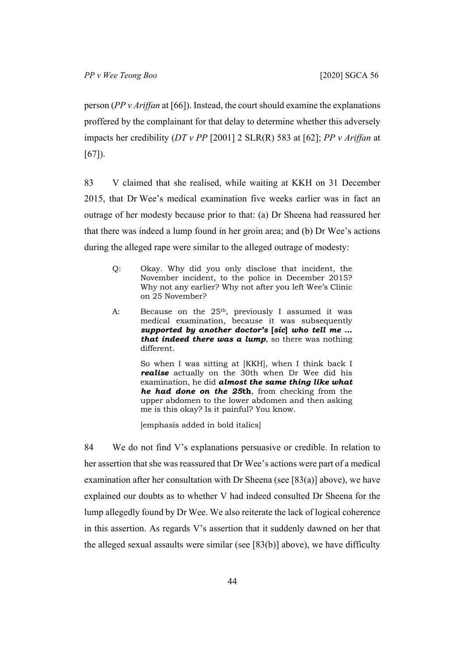person (*PP v Ariffan* at [66]). Instead, the court should examine the explanations proffered by the complainant for that delay to determine whether this adversely impacts her credibility (*DT v PP* [2001] 2 SLR(R) 583 at [62]; *PP v Ariffan* at [67]).

<span id="page-45-0"></span>83 V claimed that she realised, while waiting at KKH on 31 December 2015, that Dr Wee's medical examination five weeks earlier was in fact an outrage of her modesty because prior to that: (a) Dr Sheena had reassured her that there was indeed a lump found in her groin area; and (b) Dr Wee's actions during the alleged rape were similar to the alleged outrage of modesty:

- Q: Okay. Why did you only disclose that incident, the November incident, to the police in December 2015? Why not any earlier? Why not after you left Wee's Clinic on 25 November?
- A: Because on the 25<sup>th</sup>, previously I assumed it was medical examination, because it was subsequently *supported by another doctor's* **[***sic***]** *who tell me … that indeed there was a lump*, so there was nothing different.

So when I was sitting at [KKH], when I think back I *realise* actually on the 30th when Dr Wee did his examination, he did *almost the same thing like what he had done on the 25***th**, from checking from the upper abdomen to the lower abdomen and then asking me is this okay? Is it painful? You know.

[emphasis added in bold italics]

84 We do not find V's explanations persuasive or credible. In relation to her assertion that she was reassured that Dr Wee's actions were part of a medical examination after her consultation with Dr Sheena (see [\[83](#page-45-0)(a)] above), we have explained our doubts as to whether V had indeed consulted Dr Sheena for the lump allegedly found by Dr Wee. We also reiterate the lack of logical coherence in this assertion. As regards V's assertion that it suddenly dawned on her that the alleged sexual assaults were similar (see [[83\(](#page-45-0)b)] above), we have difficulty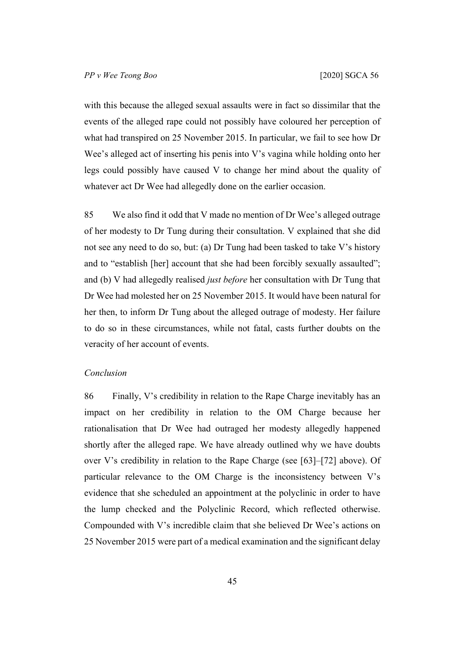with this because the alleged sexual assaults were in fact so dissimilar that the events of the alleged rape could not possibly have coloured her perception of what had transpired on 25 November 2015. In particular, we fail to see how Dr Wee's alleged act of inserting his penis into V's vagina while holding onto her legs could possibly have caused V to change her mind about the quality of whatever act Dr Wee had allegedly done on the earlier occasion.

85 We also find it odd that V made no mention of Dr Wee's alleged outrage of her modesty to Dr Tung during their consultation. V explained that she did not see any need to do so, but: (a) Dr Tung had been tasked to take V's history and to "establish [her] account that she had been forcibly sexually assaulted"; and (b) V had allegedly realised *just before* her consultation with Dr Tung that Dr Wee had molested her on 25 November 2015. It would have been natural for her then, to inform Dr Tung about the alleged outrage of modesty. Her failure to do so in these circumstances, while not fatal, casts further doubts on the veracity of her account of events.

# *Conclusion*

86 Finally, V's credibility in relation to the Rape Charge inevitably has an impact on her credibility in relation to the OM Charge because her rationalisation that Dr Wee had outraged her modesty allegedly happened shortly after the alleged rape. We have already outlined why we have doubts over V's credibility in relation to the Rape Charge (see [\[63](#page-33-0)]–[\[72](#page-39-0)] above). Of particular relevance to the OM Charge is the inconsistency between V's evidence that she scheduled an appointment at the polyclinic in order to have the lump checked and the Polyclinic Record, which reflected otherwise. Compounded with V's incredible claim that she believed Dr Wee's actions on 25 November 2015 were part of a medical examination and the significant delay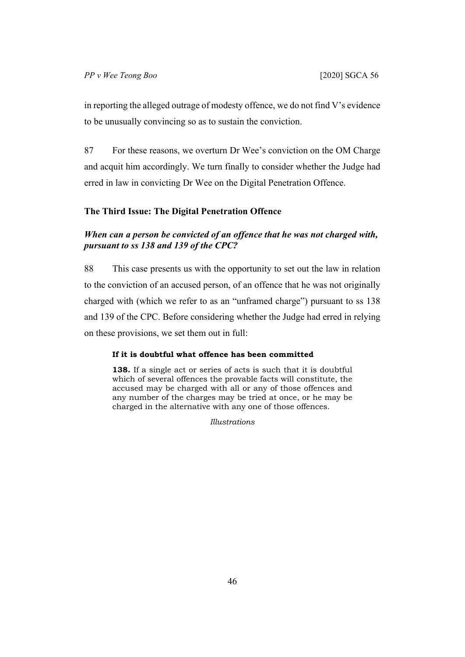in reporting the alleged outrage of modesty offence, we do not find V's evidence to be unusually convincing so as to sustain the conviction.

87 For these reasons, we overturn Dr Wee's conviction on the OM Charge and acquit him accordingly. We turn finally to consider whether the Judge had erred in law in convicting Dr Wee on the Digital Penetration Offence.

## **The Third Issue: The Digital Penetration Offence**

# *When can a person be convicted of an offence that he was not charged with, pursuant to ss 138 and 139 of the CPC?*

88 This case presents us with the opportunity to set out the law in relation to the conviction of an accused person, of an offence that he was not originally charged with (which we refer to as an "unframed charge") pursuant to ss 138 and 139 of the CPC. Before considering whether the Judge had erred in relying on these provisions, we set them out in full:

#### **If it is doubtful what offence has been committed**

**138.** If a single act or series of acts is such that it is doubtful which of several offences the provable facts will constitute, the accused may be charged with all or any of those offences and any number of the charges may be tried at once, or he may be charged in the alternative with any one of those offences.

*Illustrations*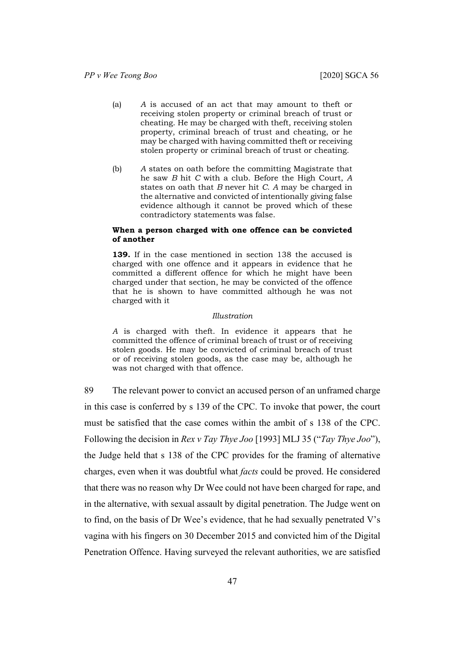- (a) *A* is accused of an act that may amount to theft or receiving stolen property or criminal breach of trust or cheating. He may be charged with theft, receiving stolen property, criminal breach of trust and cheating, or he may be charged with having committed theft or receiving stolen property or criminal breach of trust or cheating.
- (b) *A* states on oath before the committing Magistrate that he saw *B* hit *C* with a club. Before the High Court, *A*  states on oath that *B* never hit *C*. *A* may be charged in the alternative and convicted of intentionally giving false evidence although it cannot be proved which of these contradictory statements was false.

#### **When a person charged with one offence can be convicted of another**

**139.** If in the case mentioned in section 138 the accused is charged with one offence and it appears in evidence that he committed a different offence for which he might have been charged under that section, he may be convicted of the offence that he is shown to have committed although he was not charged with it

#### *Illustration*

*A* is charged with theft. In evidence it appears that he committed the offence of criminal breach of trust or of receiving stolen goods. He may be convicted of criminal breach of trust or of receiving stolen goods, as the case may be, although he was not charged with that offence.

89 The relevant power to convict an accused person of an unframed charge in this case is conferred by s 139 of the CPC. To invoke that power, the court must be satisfied that the case comes within the ambit of s 138 of the CPC. Following the decision in *Rex v Tay Thye Joo* [1993] MLJ 35 ("*Tay Thye Joo*"), the Judge held that s 138 of the CPC provides for the framing of alternative charges, even when it was doubtful what *facts* could be proved. He considered that there was no reason why Dr Wee could not have been charged for rape, and in the alternative, with sexual assault by digital penetration. The Judge went on to find, on the basis of Dr Wee's evidence, that he had sexually penetrated V's vagina with his fingers on 30 December 2015 and convicted him of the Digital Penetration Offence. Having surveyed the relevant authorities, we are satisfied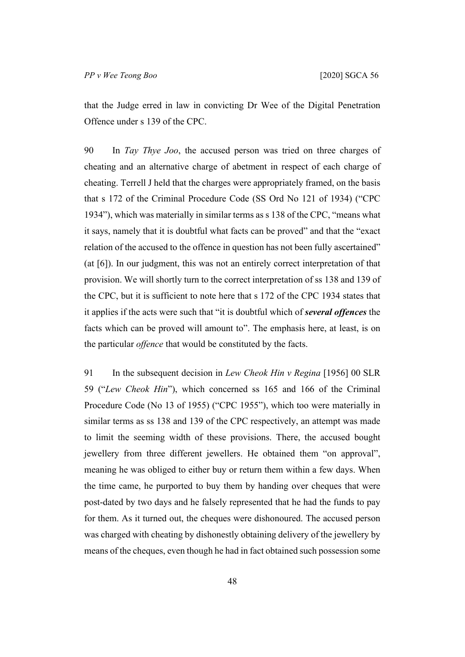that the Judge erred in law in convicting Dr Wee of the Digital Penetration Offence under s 139 of the CPC.

90 In *Tay Thye Joo*, the accused person was tried on three charges of cheating and an alternative charge of abetment in respect of each charge of cheating. Terrell J held that the charges were appropriately framed, on the basis that s 172 of the Criminal Procedure Code (SS Ord No 121 of 1934) ("CPC 1934"), which was materially in similar terms as s 138 of the CPC, "means what it says, namely that it is doubtful what facts can be proved" and that the "exact relation of the accused to the offence in question has not been fully ascertained" (at [6]). In our judgment, this was not an entirely correct interpretation of that provision. We will shortly turn to the correct interpretation of ss 138 and 139 of the CPC, but it is sufficient to note here that s 172 of the CPC 1934 states that it applies if the acts were such that "it is doubtful which of *several offences* the facts which can be proved will amount to". The emphasis here, at least, is on the particular *offence* that would be constituted by the facts.

<span id="page-49-0"></span>91 In the subsequent decision in *Lew Cheok Hin v Regina* [1956] 00 SLR 59 ("*Lew Cheok Hin*"), which concerned ss 165 and 166 of the Criminal Procedure Code (No 13 of 1955) ("CPC 1955"), which too were materially in similar terms as ss 138 and 139 of the CPC respectively, an attempt was made to limit the seeming width of these provisions. There, the accused bought jewellery from three different jewellers. He obtained them "on approval", meaning he was obliged to either buy or return them within a few days. When the time came, he purported to buy them by handing over cheques that were post-dated by two days and he falsely represented that he had the funds to pay for them. As it turned out, the cheques were dishonoured. The accused person was charged with cheating by dishonestly obtaining delivery of the jewellery by means of the cheques, even though he had in fact obtained such possession some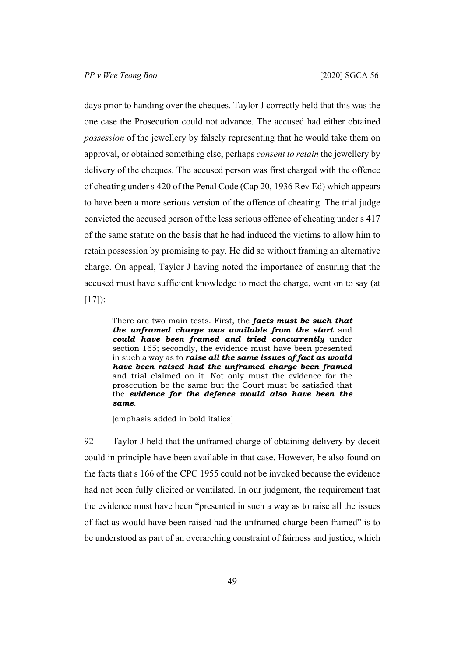days prior to handing over the cheques. Taylor J correctly held that this was the one case the Prosecution could not advance. The accused had either obtained *possession* of the jewellery by falsely representing that he would take them on approval, or obtained something else, perhaps *consent to retain* the jewellery by delivery of the cheques. The accused person was first charged with the offence of cheating under s 420 of the Penal Code (Cap 20, 1936 Rev Ed) which appears to have been a more serious version of the offence of cheating. The trial judge convicted the accused person of the less serious offence of cheating under s 417 of the same statute on the basis that he had induced the victims to allow him to retain possession by promising to pay. He did so without framing an alternative charge. On appeal, Taylor J having noted the importance of ensuring that the accused must have sufficient knowledge to meet the charge, went on to say (at  $[17]$ :

There are two main tests. First, the *facts must be such that the unframed charge was available from the start* and *could have been framed and tried concurrently* under section 165; secondly, the evidence must have been presented in such a way as to *raise all the same issues of fact as would have been raised had the unframed charge been framed* and trial claimed on it. Not only must the evidence for the prosecution be the same but the Court must be satisfied that the *evidence for the defence would also have been the same*.

[emphasis added in bold italics]

<span id="page-50-0"></span>92 Taylor J held that the unframed charge of obtaining delivery by deceit could in principle have been available in that case. However, he also found on the facts that s 166 of the CPC 1955 could not be invoked because the evidence had not been fully elicited or ventilated. In our judgment, the requirement that the evidence must have been "presented in such a way as to raise all the issues of fact as would have been raised had the unframed charge been framed" is to be understood as part of an overarching constraint of fairness and justice, which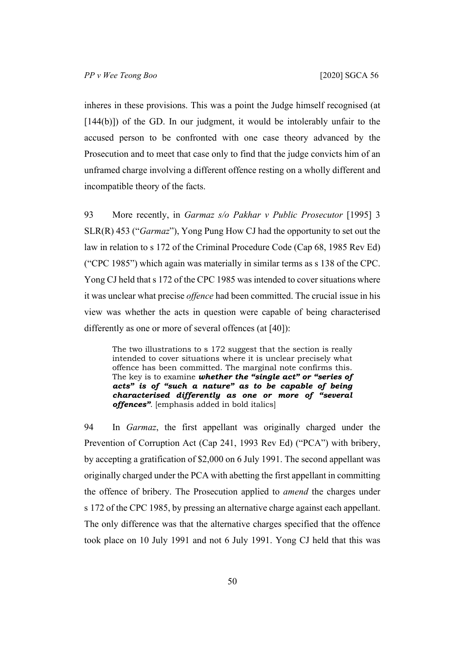inheres in these provisions. This was a point the Judge himself recognised (at [144(b)]) of the GD. In our judgment, it would be intolerably unfair to the accused person to be confronted with one case theory advanced by the Prosecution and to meet that case only to find that the judge convicts him of an unframed charge involving a different offence resting on a wholly different and incompatible theory of the facts.

93 More recently, in *Garmaz s/o Pakhar v Public Prosecutor* [1995] 3 SLR(R) 453 ("*Garmaz*"), Yong Pung How CJ had the opportunity to set out the law in relation to s 172 of the Criminal Procedure Code (Cap 68, 1985 Rev Ed) ("CPC 1985") which again was materially in similar terms as s 138 of the CPC. Yong CJ held that s 172 of the CPC 1985 was intended to cover situations where it was unclear what precise *offence* had been committed. The crucial issue in his view was whether the acts in question were capable of being characterised differently as one or more of several offences (at [40]):

The two illustrations to s 172 suggest that the section is really intended to cover situations where it is unclear precisely what offence has been committed. The marginal note confirms this. The key is to examine *whether the "single act" or "series of acts" is of "such a nature" as to be capable of being characterised differently as one or more of "several offences"*. [emphasis added in bold italics]

94 In *Garmaz*, the first appellant was originally charged under the Prevention of Corruption Act (Cap 241, 1993 Rev Ed) ("PCA") with bribery, by accepting a gratification of \$2,000 on 6 July 1991. The second appellant was originally charged under the PCA with abetting the first appellant in committing the offence of bribery. The Prosecution applied to *amend* the charges under s 172 of the CPC 1985, by pressing an alternative charge against each appellant. The only difference was that the alternative charges specified that the offence took place on 10 July 1991 and not 6 July 1991. Yong CJ held that this was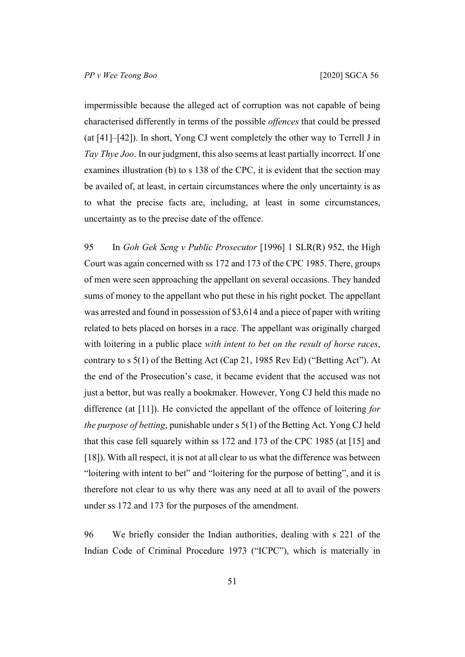impermissible because the alleged act of corruption was not capable of being characterised differently in terms of the possible *offences* that could be pressed (at [41]–[42]). In short, Yong CJ went completely the other way to Terrell J in *Tay Thye Joo*. In our judgment, this also seems at least partially incorrect. If one examines illustration (b) to s 138 of the CPC, it is evident that the section may be availed of, at least, in certain circumstances where the only uncertainty is as to what the precise facts are, including, at least in some circumstances, uncertainty as to the precise date of the offence.

95 In *Goh Gek Seng v Public Prosecutor* [1996] 1 SLR(R) 952, the High Court was again concerned with ss 172 and 173 of the CPC 1985. There, groups of men were seen approaching the appellant on several occasions. They handed sums of money to the appellant who put these in his right pocket. The appellant was arrested and found in possession of \$3,614 and a piece of paper with writing related to bets placed on horses in a race. The appellant was originally charged with loitering in a public place *with intent to bet on the result of horse races*, contrary to s 5(1) of the Betting Act (Cap 21, 1985 Rev Ed) ("Betting Act"). At the end of the Prosecution's case, it became evident that the accused was not just a bettor, but was really a bookmaker. However, Yong CJ held this made no difference (at [11]). He convicted the appellant of the offence of loitering *for the purpose of betting*, punishable under s 5(1) of the Betting Act. Yong CJ held that this case fell squarely within ss 172 and 173 of the CPC 1985 (at [15] and [18]). With all respect, it is not at all clear to us what the difference was between "loitering with intent to bet" and "loitering for the purpose of betting", and it is therefore not clear to us why there was any need at all to avail of the powers under ss 172 and 173 for the purposes of the amendment.

96 We briefly consider the Indian authorities, dealing with s 221 of the Indian Code of Criminal Procedure 1973 ("ICPC"), which is materially in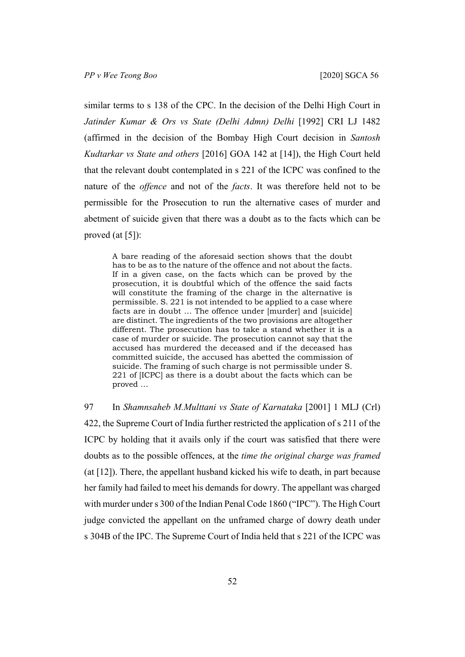similar terms to s 138 of the CPC. In the decision of the Delhi High Court in *Jatinder Kumar & Ors vs State (Delhi Admn) Delhi* [1992] CRI LJ 1482 (affirmed in the decision of the Bombay High Court decision in *Santosh Kudtarkar vs State and others* [2016] GOA 142 at [14]), the High Court held that the relevant doubt contemplated in s 221 of the ICPC was confined to the nature of the *offence* and not of the *facts*. It was therefore held not to be permissible for the Prosecution to run the alternative cases of murder and abetment of suicide given that there was a doubt as to the facts which can be proved (at [5]):

A bare reading of the aforesaid section shows that the doubt has to be as to the nature of the offence and not about the facts. If in a given case, on the facts which can be proved by the prosecution, it is doubtful which of the offence the said facts will constitute the framing of the charge in the alternative is permissible. S. 221 is not intended to be applied to a case where facts are in doubt … The offence under [murder] and [suicide] are distinct. The ingredients of the two provisions are altogether different. The prosecution has to take a stand whether it is a case of murder or suicide. The prosecution cannot say that the accused has murdered the deceased and if the deceased has committed suicide, the accused has abetted the commission of suicide. The framing of such charge is not permissible under S. 221 of [ICPC] as there is a doubt about the facts which can be proved …

97 In *Shamnsaheb M.Multtani vs State of Karnataka* [2001] 1 MLJ (Crl) 422, the Supreme Court of India further restricted the application of s 211 of the ICPC by holding that it avails only if the court was satisfied that there were doubts as to the possible offences, at the *time the original charge was framed*  (at [12]). There, the appellant husband kicked his wife to death, in part because her family had failed to meet his demands for dowry. The appellant was charged with murder under s 300 of the Indian Penal Code 1860 ("IPC"). The High Court judge convicted the appellant on the unframed charge of dowry death under s 304B of the IPC. The Supreme Court of India held that s 221 of the ICPC was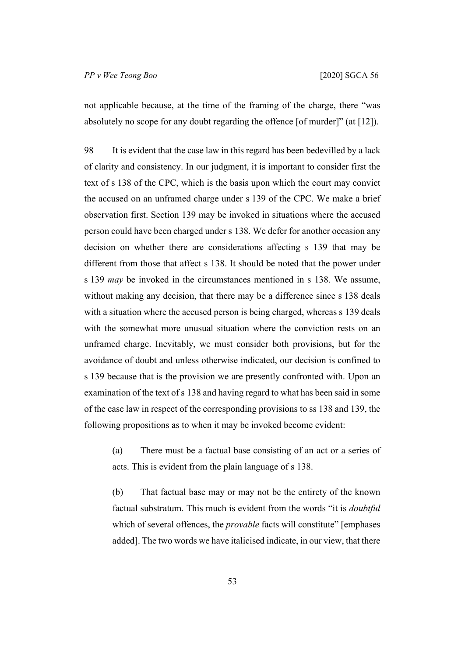not applicable because, at the time of the framing of the charge, there "was absolutely no scope for any doubt regarding the offence [of murder]" (at [12]).

98 It is evident that the case law in this regard has been bedevilled by a lack of clarity and consistency. In our judgment, it is important to consider first the text of s 138 of the CPC, which is the basis upon which the court may convict the accused on an unframed charge under s 139 of the CPC. We make a brief observation first. Section 139 may be invoked in situations where the accused person could have been charged under s 138. We defer for another occasion any decision on whether there are considerations affecting s 139 that may be different from those that affect s 138. It should be noted that the power under s 139 *may* be invoked in the circumstances mentioned in s 138. We assume, without making any decision, that there may be a difference since s 138 deals with a situation where the accused person is being charged, whereas s 139 deals with the somewhat more unusual situation where the conviction rests on an unframed charge. Inevitably, we must consider both provisions, but for the avoidance of doubt and unless otherwise indicated, our decision is confined to s 139 because that is the provision we are presently confronted with. Upon an examination of the text of s 138 and having regard to what has been said in some of the case law in respect of the corresponding provisions to ss 138 and 139, the following propositions as to when it may be invoked become evident:

(a) There must be a factual base consisting of an act or a series of acts. This is evident from the plain language of s 138.

(b) That factual base may or may not be the entirety of the known factual substratum. This much is evident from the words "it is *doubtful*  which of several offences, the *provable* facts will constitute" [emphases added]. The two words we have italicised indicate, in our view, that there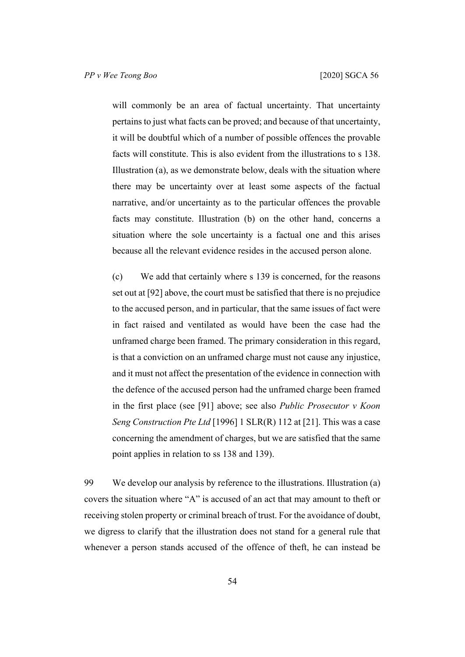will commonly be an area of factual uncertainty. That uncertainty pertains to just what facts can be proved; and because of that uncertainty, it will be doubtful which of a number of possible offences the provable facts will constitute. This is also evident from the illustrations to s 138. Illustration (a), as we demonstrate below, deals with the situation where there may be uncertainty over at least some aspects of the factual narrative, and/or uncertainty as to the particular offences the provable facts may constitute. Illustration (b) on the other hand, concerns a situation where the sole uncertainty is a factual one and this arises because all the relevant evidence resides in the accused person alone.

<span id="page-55-0"></span>(c) We add that certainly where s 139 is concerned, for the reasons set out at [[92\]](#page-50-0) above, the court must be satisfied that there is no prejudice to the accused person, and in particular, that the same issues of fact were in fact raised and ventilated as would have been the case had the unframed charge been framed. The primary consideration in this regard, is that a conviction on an unframed charge must not cause any injustice, and it must not affect the presentation of the evidence in connection with the defence of the accused person had the unframed charge been framed in the first place (see [[91\]](#page-49-0) above; see also *Public Prosecutor v Koon Seng Construction Pte Ltd* [1996] 1 SLR(R) 112 at [21]. This was a case concerning the amendment of charges, but we are satisfied that the same point applies in relation to ss 138 and 139).

99 We develop our analysis by reference to the illustrations. Illustration (a) covers the situation where "A" is accused of an act that may amount to theft or receiving stolen property or criminal breach of trust. For the avoidance of doubt, we digress to clarify that the illustration does not stand for a general rule that whenever a person stands accused of the offence of theft, he can instead be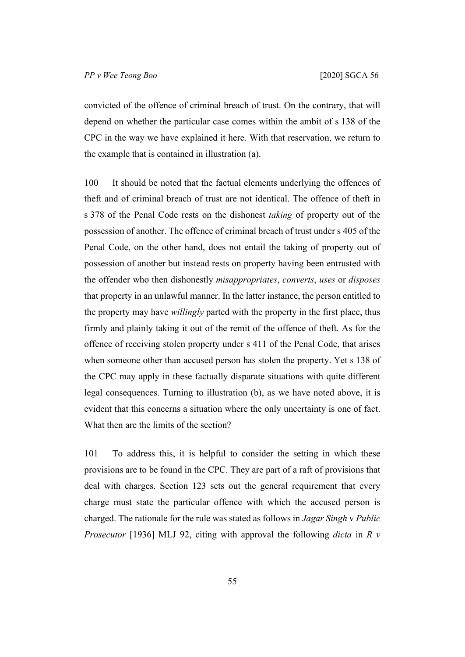convicted of the offence of criminal breach of trust. On the contrary, that will depend on whether the particular case comes within the ambit of s 138 of the CPC in the way we have explained it here. With that reservation, we return to the example that is contained in illustration (a).

100 It should be noted that the factual elements underlying the offences of theft and of criminal breach of trust are not identical. The offence of theft in s 378 of the Penal Code rests on the dishonest *taking* of property out of the possession of another. The offence of criminal breach of trust under s 405 of the Penal Code, on the other hand, does not entail the taking of property out of possession of another but instead rests on property having been entrusted with the offender who then dishonestly *misappropriates*, *converts*, *uses* or *disposes*  that property in an unlawful manner. In the latter instance, the person entitled to the property may have *willingly* parted with the property in the first place, thus firmly and plainly taking it out of the remit of the offence of theft. As for the offence of receiving stolen property under s 411 of the Penal Code, that arises when someone other than accused person has stolen the property. Yet s 138 of the CPC may apply in these factually disparate situations with quite different legal consequences. Turning to illustration (b), as we have noted above, it is evident that this concerns a situation where the only uncertainty is one of fact. What then are the limits of the section?

101 To address this, it is helpful to consider the setting in which these provisions are to be found in the CPC. They are part of a raft of provisions that deal with charges. Section 123 sets out the general requirement that every charge must state the particular offence with which the accused person is charged. The rationale for the rule was stated as follows in *Jagar Singh* v *Public Prosecutor* [1936] MLJ 92, citing with approval the following *dicta* in *R v*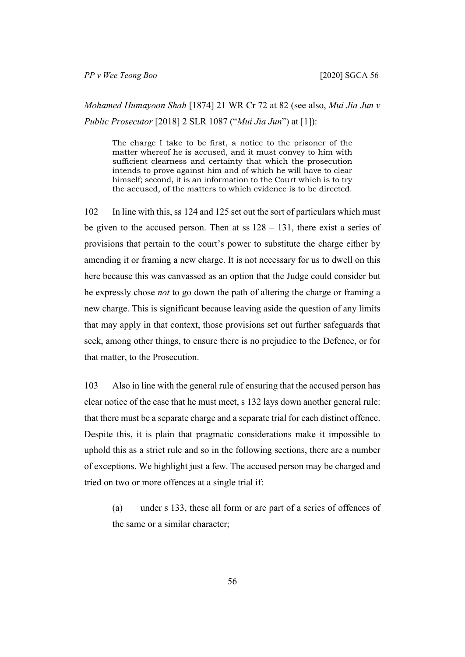*Mohamed Humayoon Shah* [1874] 21 WR Cr 72 at 82 (see also, *Mui Jia Jun v Public Prosecutor* [2018] 2 SLR 1087 ("*Mui Jia Jun*") at [1]):

The charge I take to be first, a notice to the prisoner of the matter whereof he is accused, and it must convey to him with sufficient clearness and certainty that which the prosecution intends to prove against him and of which he will have to clear himself; second, it is an information to the Court which is to try the accused, of the matters to which evidence is to be directed.

102 In line with this, ss 124 and 125 set out the sort of particulars which must be given to the accused person. Then at ss  $128 - 131$ , there exist a series of provisions that pertain to the court's power to substitute the charge either by amending it or framing a new charge. It is not necessary for us to dwell on this here because this was canvassed as an option that the Judge could consider but he expressly chose *not* to go down the path of altering the charge or framing a new charge. This is significant because leaving aside the question of any limits that may apply in that context, those provisions set out further safeguards that seek, among other things, to ensure there is no prejudice to the Defence, or for that matter, to the Prosecution.

103 Also in line with the general rule of ensuring that the accused person has clear notice of the case that he must meet, s 132 lays down another general rule: that there must be a separate charge and a separate trial for each distinct offence. Despite this, it is plain that pragmatic considerations make it impossible to uphold this as a strict rule and so in the following sections, there are a number of exceptions. We highlight just a few. The accused person may be charged and tried on two or more offences at a single trial if:

(a) under s 133, these all form or are part of a series of offences of the same or a similar character;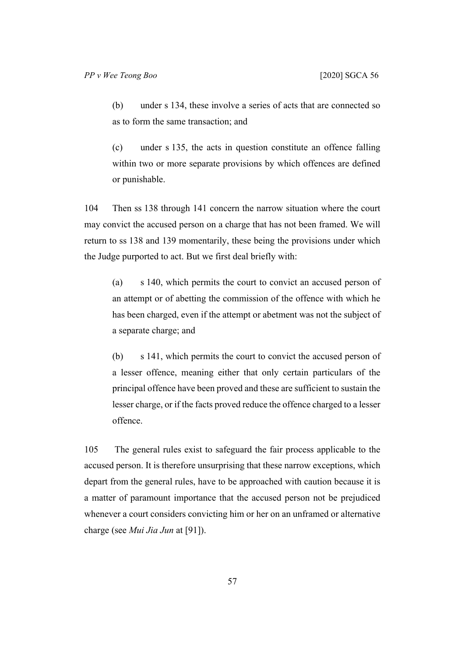(b) under s 134, these involve a series of acts that are connected so as to form the same transaction; and

(c) under s 135, the acts in question constitute an offence falling within two or more separate provisions by which offences are defined or punishable.

104 Then ss 138 through 141 concern the narrow situation where the court may convict the accused person on a charge that has not been framed. We will return to ss 138 and 139 momentarily, these being the provisions under which the Judge purported to act. But we first deal briefly with:

(a) s 140, which permits the court to convict an accused person of an attempt or of abetting the commission of the offence with which he has been charged, even if the attempt or abetment was not the subject of a separate charge; and

(b) s 141, which permits the court to convict the accused person of a lesser offence, meaning either that only certain particulars of the principal offence have been proved and these are sufficient to sustain the lesser charge, or if the facts proved reduce the offence charged to a lesser offence.

105 The general rules exist to safeguard the fair process applicable to the accused person. It is therefore unsurprising that these narrow exceptions, which depart from the general rules, have to be approached with caution because it is a matter of paramount importance that the accused person not be prejudiced whenever a court considers convicting him or her on an unframed or alternative charge (see *Mui Jia Jun* at [91]).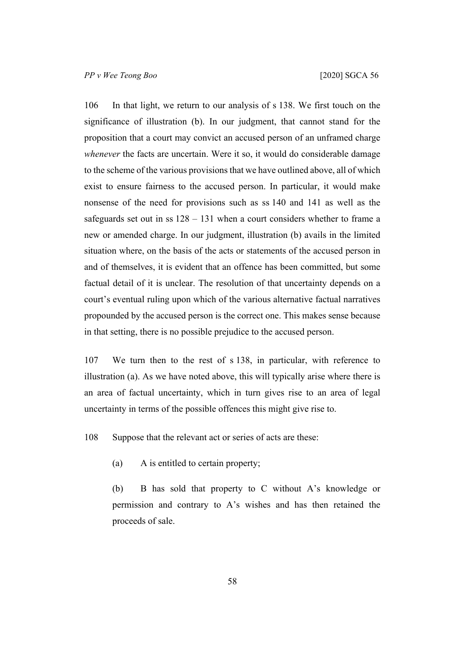106 In that light, we return to our analysis of s 138. We first touch on the significance of illustration (b). In our judgment, that cannot stand for the proposition that a court may convict an accused person of an unframed charge *whenever* the facts are uncertain. Were it so, it would do considerable damage to the scheme of the various provisions that we have outlined above, all of which exist to ensure fairness to the accused person. In particular, it would make nonsense of the need for provisions such as ss 140 and 141 as well as the safeguards set out in ss  $128 - 131$  when a court considers whether to frame a new or amended charge. In our judgment, illustration (b) avails in the limited situation where, on the basis of the acts or statements of the accused person in and of themselves, it is evident that an offence has been committed, but some factual detail of it is unclear. The resolution of that uncertainty depends on a court's eventual ruling upon which of the various alternative factual narratives propounded by the accused person is the correct one. This makes sense because in that setting, there is no possible prejudice to the accused person.

107 We turn then to the rest of s 138, in particular, with reference to illustration (a). As we have noted above, this will typically arise where there is an area of factual uncertainty, which in turn gives rise to an area of legal uncertainty in terms of the possible offences this might give rise to.

108 Suppose that the relevant act or series of acts are these:

(a) A is entitled to certain property;

(b) B has sold that property to C without A's knowledge or permission and contrary to A's wishes and has then retained the proceeds of sale.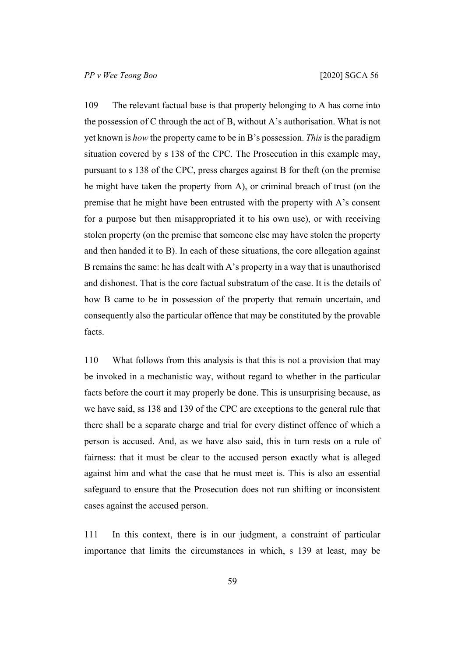<span id="page-60-0"></span>109 The relevant factual base is that property belonging to A has come into the possession of C through the act of B, without A's authorisation. What is not yet known is *how* the property came to be in B's possession. *This* is the paradigm situation covered by s 138 of the CPC. The Prosecution in this example may, pursuant to s 138 of the CPC, press charges against B for theft (on the premise he might have taken the property from A), or criminal breach of trust (on the premise that he might have been entrusted with the property with A's consent for a purpose but then misappropriated it to his own use), or with receiving stolen property (on the premise that someone else may have stolen the property and then handed it to B). In each of these situations, the core allegation against B remains the same: he has dealt with A's property in a way that is unauthorised and dishonest. That is the core factual substratum of the case. It is the details of how B came to be in possession of the property that remain uncertain, and consequently also the particular offence that may be constituted by the provable facts.

110 What follows from this analysis is that this is not a provision that may be invoked in a mechanistic way, without regard to whether in the particular facts before the court it may properly be done. This is unsurprising because, as we have said, ss 138 and 139 of the CPC are exceptions to the general rule that there shall be a separate charge and trial for every distinct offence of which a person is accused. And, as we have also said, this in turn rests on a rule of fairness: that it must be clear to the accused person exactly what is alleged against him and what the case that he must meet is. This is also an essential safeguard to ensure that the Prosecution does not run shifting or inconsistent cases against the accused person.

111 In this context, there is in our judgment, a constraint of particular importance that limits the circumstances in which, s 139 at least, may be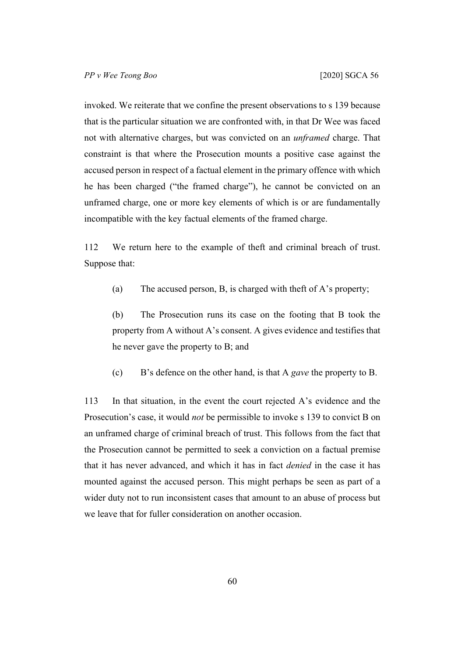invoked. We reiterate that we confine the present observations to s 139 because that is the particular situation we are confronted with, in that Dr Wee was faced not with alternative charges, but was convicted on an *unframed* charge. That constraint is that where the Prosecution mounts a positive case against the accused person in respect of a factual element in the primary offence with which he has been charged ("the framed charge"), he cannot be convicted on an unframed charge, one or more key elements of which is or are fundamentally incompatible with the key factual elements of the framed charge.

112 We return here to the example of theft and criminal breach of trust. Suppose that:

(a) The accused person, B, is charged with theft of A's property;

(b) The Prosecution runs its case on the footing that B took the property from A without A's consent. A gives evidence and testifies that he never gave the property to B; and

(c) B's defence on the other hand, is that A *gave* the property to B.

113 In that situation, in the event the court rejected A's evidence and the Prosecution's case, it would *not* be permissible to invoke s 139 to convict B on an unframed charge of criminal breach of trust. This follows from the fact that the Prosecution cannot be permitted to seek a conviction on a factual premise that it has never advanced, and which it has in fact *denied* in the case it has mounted against the accused person. This might perhaps be seen as part of a wider duty not to run inconsistent cases that amount to an abuse of process but we leave that for fuller consideration on another occasion.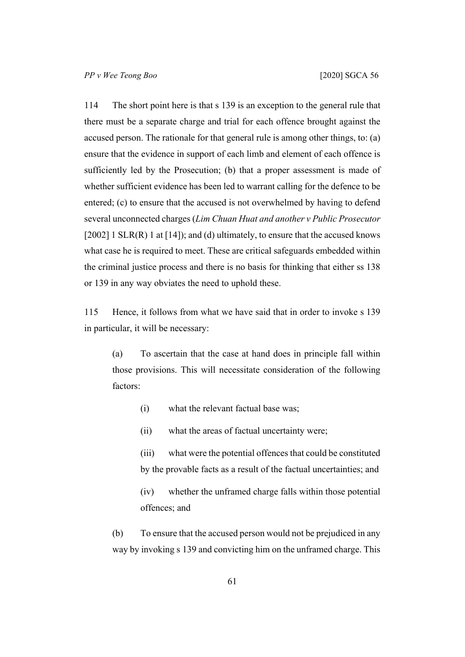<span id="page-62-0"></span>114 The short point here is that s 139 is an exception to the general rule that there must be a separate charge and trial for each offence brought against the accused person. The rationale for that general rule is among other things, to: (a) ensure that the evidence in support of each limb and element of each offence is sufficiently led by the Prosecution; (b) that a proper assessment is made of whether sufficient evidence has been led to warrant calling for the defence to be entered; (c) to ensure that the accused is not overwhelmed by having to defend several unconnected charges (*Lim Chuan Huat and another v Public Prosecutor*  [2002] 1 SLR(R) 1 at [14]); and (d) ultimately, to ensure that the accused knows what case he is required to meet. These are critical safeguards embedded within the criminal justice process and there is no basis for thinking that either ss 138 or 139 in any way obviates the need to uphold these.

115 Hence, it follows from what we have said that in order to invoke s 139 in particular, it will be necessary:

(a) To ascertain that the case at hand does in principle fall within those provisions. This will necessitate consideration of the following factors:

- (i) what the relevant factual base was;
- (ii) what the areas of factual uncertainty were;

(iii) what were the potential offences that could be constituted by the provable facts as a result of the factual uncertainties; and

(iv) whether the unframed charge falls within those potential offences; and

<span id="page-62-1"></span>(b) To ensure that the accused person would not be prejudiced in any way by invoking s 139 and convicting him on the unframed charge. This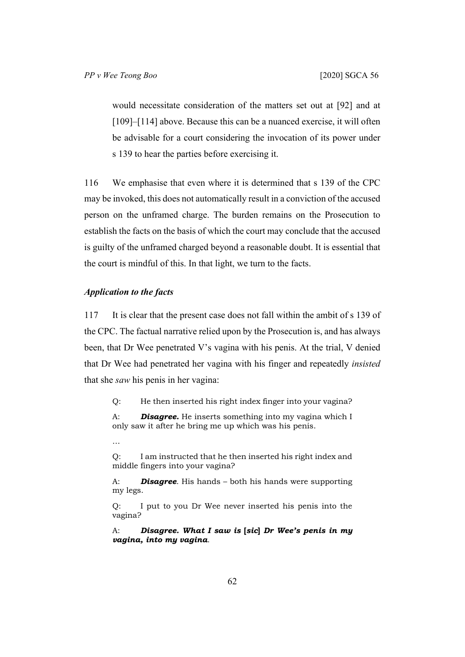would necessitate consideration of the matters set out at [[92\]](#page-50-0) and at [[109\]](#page-60-0)–[[114\]](#page-62-0) above. Because this can be a nuanced exercise, it will often be advisable for a court considering the invocation of its power under s 139 to hear the parties before exercising it.

116 We emphasise that even where it is determined that s 139 of the CPC may be invoked, this does not automatically result in a conviction of the accused person on the unframed charge. The burden remains on the Prosecution to establish the facts on the basis of which the court may conclude that the accused is guilty of the unframed charged beyond a reasonable doubt. It is essential that the court is mindful of this. In that light, we turn to the facts.

### *Application to the facts*

117 It is clear that the present case does not fall within the ambit of s 139 of the CPC. The factual narrative relied upon by the Prosecution is, and has always been, that Dr Wee penetrated V's vagina with his penis. At the trial, V denied that Dr Wee had penetrated her vagina with his finger and repeatedly *insisted* that she *saw* his penis in her vagina:

Q: He then inserted his right index finger into your vagina?

A: *Disagree.* He inserts something into my vagina which I only saw it after he bring me up which was his penis.

…

Q: I am instructed that he then inserted his right index and middle fingers into your vagina?

A: *Disagree*. His hands – both his hands were supporting my legs.

Q: I put to you Dr Wee never inserted his penis into the vagina?

A: *Disagree. What I saw is* **[***sic***]** *Dr Wee's penis in my vagina, into my vagina*.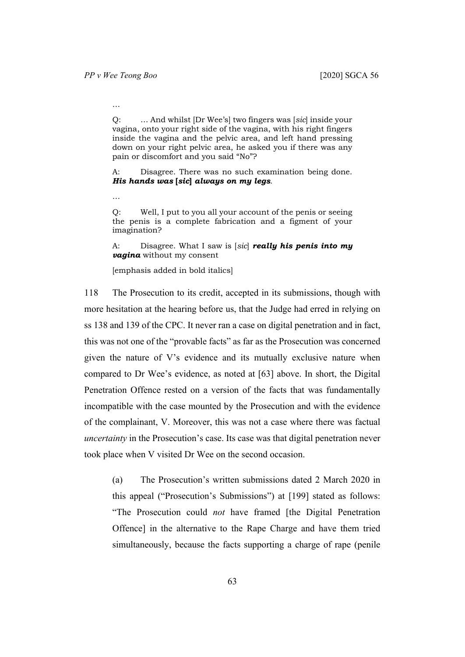…

Q: … And whilst [Dr Wee's] two fingers was [*sic*] inside your vagina, onto your right side of the vagina, with his right fingers inside the vagina and the pelvic area, and left hand pressing down on your right pelvic area, he asked you if there was any pain or discomfort and you said "No"?

A: Disagree. There was no such examination being done. *His hands was* **[***sic***]** *always on my legs*.

…

Q: Well, I put to you all your account of the penis or seeing the penis is a complete fabrication and a figment of your imagination?

A: Disagree. What I saw is [*sic*] *really his penis into my vagina* without my consent

[emphasis added in bold italics]

118 The Prosecution to its credit, accepted in its submissions, though with more hesitation at the hearing before us, that the Judge had erred in relying on ss 138 and 139 of the CPC. It never ran a case on digital penetration and in fact, this was not one of the "provable facts" as far as the Prosecution was concerned given the nature of V's evidence and its mutually exclusive nature when compared to Dr Wee's evidence, as noted at [[63\]](#page-33-0) above. In short, the Digital Penetration Offence rested on a version of the facts that was fundamentally incompatible with the case mounted by the Prosecution and with the evidence of the complainant, V. Moreover, this was not a case where there was factual *uncertainty* in the Prosecution's case. Its case was that digital penetration never took place when V visited Dr Wee on the second occasion.

(a) The Prosecution's written submissions dated 2 March 2020 in this appeal ("Prosecution's Submissions") at [199] stated as follows: "The Prosecution could *not* have framed [the Digital Penetration Offence] in the alternative to the Rape Charge and have them tried simultaneously, because the facts supporting a charge of rape (penile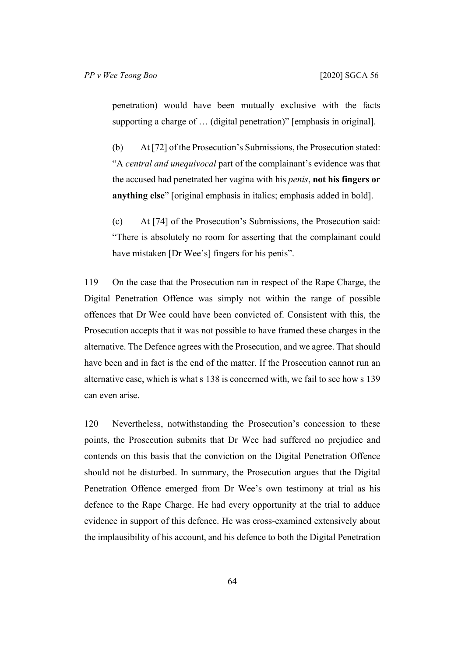penetration) would have been mutually exclusive with the facts supporting a charge of … (digital penetration)" [emphasis in original].

(b) At [72] of the Prosecution's Submissions, the Prosecution stated: "A *central and unequivocal* part of the complainant's evidence was that the accused had penetrated her vagina with his *penis*, **not his fingers or anything else**" [original emphasis in italics; emphasis added in bold].

(c) At [74] of the Prosecution's Submissions, the Prosecution said: "There is absolutely no room for asserting that the complainant could have mistaken [Dr Wee's] fingers for his penis".

119 On the case that the Prosecution ran in respect of the Rape Charge, the Digital Penetration Offence was simply not within the range of possible offences that Dr Wee could have been convicted of. Consistent with this, the Prosecution accepts that it was not possible to have framed these charges in the alternative. The Defence agrees with the Prosecution, and we agree. That should have been and in fact is the end of the matter. If the Prosecution cannot run an alternative case, which is what s 138 is concerned with, we fail to see how s 139 can even arise.

120 Nevertheless, notwithstanding the Prosecution's concession to these points, the Prosecution submits that Dr Wee had suffered no prejudice and contends on this basis that the conviction on the Digital Penetration Offence should not be disturbed. In summary, the Prosecution argues that the Digital Penetration Offence emerged from Dr Wee's own testimony at trial as his defence to the Rape Charge. He had every opportunity at the trial to adduce evidence in support of this defence. He was cross-examined extensively about the implausibility of his account, and his defence to both the Digital Penetration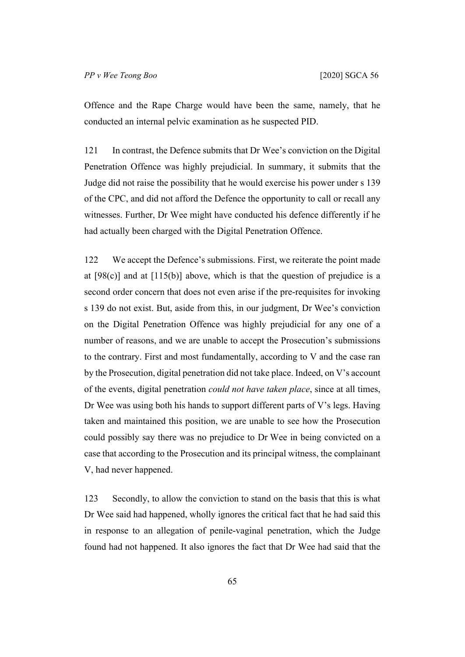Offence and the Rape Charge would have been the same, namely, that he conducted an internal pelvic examination as he suspected PID.

121 In contrast, the Defence submits that Dr Wee's conviction on the Digital Penetration Offence was highly prejudicial. In summary, it submits that the Judge did not raise the possibility that he would exercise his power under s 139 of the CPC, and did not afford the Defence the opportunity to call or recall any witnesses. Further, Dr Wee might have conducted his defence differently if he had actually been charged with the Digital Penetration Offence.

122 We accept the Defence's submissions. First, we reiterate the point made at  $[98(c)]$  $[98(c)]$  and at  $[115(b)]$  $[115(b)]$  above, which is that the question of prejudice is a second order concern that does not even arise if the pre-requisites for invoking s 139 do not exist. But, aside from this, in our judgment, Dr Wee's conviction on the Digital Penetration Offence was highly prejudicial for any one of a number of reasons, and we are unable to accept the Prosecution's submissions to the contrary. First and most fundamentally, according to V and the case ran by the Prosecution, digital penetration did not take place. Indeed, on V's account of the events, digital penetration *could not have taken place*, since at all times, Dr Wee was using both his hands to support different parts of V's legs. Having taken and maintained this position, we are unable to see how the Prosecution could possibly say there was no prejudice to Dr Wee in being convicted on a case that according to the Prosecution and its principal witness, the complainant V, had never happened.

123 Secondly, to allow the conviction to stand on the basis that this is what Dr Wee said had happened, wholly ignores the critical fact that he had said this in response to an allegation of penile-vaginal penetration, which the Judge found had not happened. It also ignores the fact that Dr Wee had said that the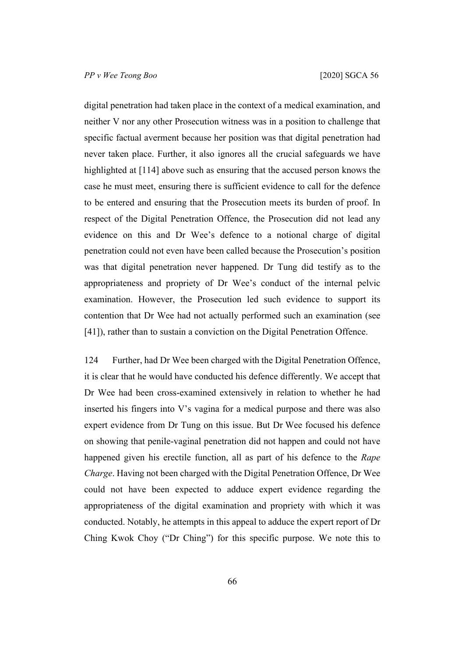digital penetration had taken place in the context of a medical examination, and neither V nor any other Prosecution witness was in a position to challenge that specific factual averment because her position was that digital penetration had never taken place. Further, it also ignores all the crucial safeguards we have highlighted at [[114\]](#page-62-0) above such as ensuring that the accused person knows the case he must meet, ensuring there is sufficient evidence to call for the defence to be entered and ensuring that the Prosecution meets its burden of proof. In respect of the Digital Penetration Offence, the Prosecution did not lead any evidence on this and Dr Wee's defence to a notional charge of digital penetration could not even have been called because the Prosecution's position was that digital penetration never happened. Dr Tung did testify as to the appropriateness and propriety of Dr Wee's conduct of the internal pelvic examination. However, the Prosecution led such evidence to support its contention that Dr Wee had not actually performed such an examination (see [[41\]](#page-19-0)), rather than to sustain a conviction on the Digital Penetration Offence.

124 Further, had Dr Wee been charged with the Digital Penetration Offence, it is clear that he would have conducted his defence differently. We accept that Dr Wee had been cross-examined extensively in relation to whether he had inserted his fingers into V's vagina for a medical purpose and there was also expert evidence from Dr Tung on this issue. But Dr Wee focused his defence on showing that penile-vaginal penetration did not happen and could not have happened given his erectile function, all as part of his defence to the *Rape Charge*. Having not been charged with the Digital Penetration Offence, Dr Wee could not have been expected to adduce expert evidence regarding the appropriateness of the digital examination and propriety with which it was conducted. Notably, he attempts in this appeal to adduce the expert report of Dr Ching Kwok Choy ("Dr Ching") for this specific purpose. We note this to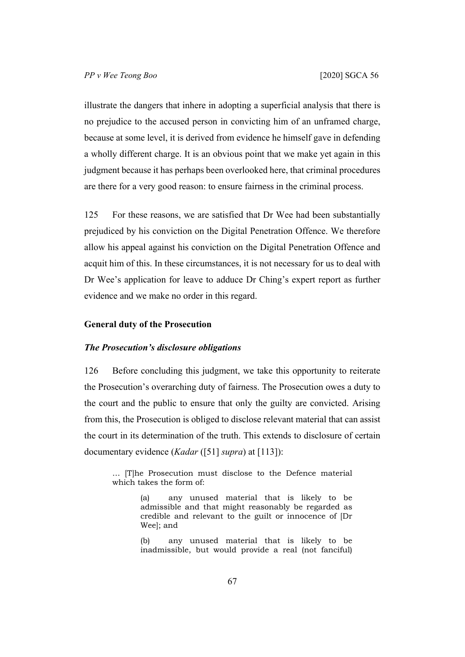illustrate the dangers that inhere in adopting a superficial analysis that there is no prejudice to the accused person in convicting him of an unframed charge, because at some level, it is derived from evidence he himself gave in defending a wholly different charge. It is an obvious point that we make yet again in this judgment because it has perhaps been overlooked here, that criminal procedures are there for a very good reason: to ensure fairness in the criminal process.

125 For these reasons, we are satisfied that Dr Wee had been substantially prejudiced by his conviction on the Digital Penetration Offence. We therefore allow his appeal against his conviction on the Digital Penetration Offence and acquit him of this. In these circumstances, it is not necessary for us to deal with Dr Wee's application for leave to adduce Dr Ching's expert report as further evidence and we make no order in this regard.

## **General duty of the Prosecution**

## *The Prosecution's disclosure obligations*

126 Before concluding this judgment, we take this opportunity to reiterate the Prosecution's overarching duty of fairness. The Prosecution owes a duty to the court and the public to ensure that only the guilty are convicted. Arising from this, the Prosecution is obliged to disclose relevant material that can assist the court in its determination of the truth. This extends to disclosure of certain documentary evidence (*Kadar* ([[51\]](#page-25-0) *supra*) at [113]):

… [T]he Prosecution must disclose to the Defence material which takes the form of:

> (a) any unused material that is likely to be admissible and that might reasonably be regarded as credible and relevant to the guilt or innocence of [Dr Wee]; and

> (b) any unused material that is likely to be inadmissible, but would provide a real (not fanciful)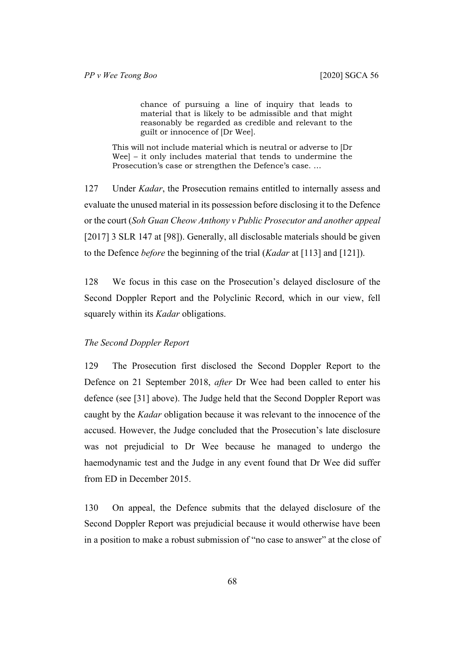chance of pursuing a line of inquiry that leads to material that is likely to be admissible and that might reasonably be regarded as credible and relevant to the guilt or innocence of [Dr Wee].

This will not include material which is neutral or adverse to [Dr Wee] – it only includes material that tends to undermine the Prosecution's case or strengthen the Defence's case. …

127 Under *Kadar*, the Prosecution remains entitled to internally assess and evaluate the unused material in its possession before disclosing it to the Defence or the court (*Soh Guan Cheow Anthony v Public Prosecutor and another appeal*  [2017] 3 SLR 147 at [98]). Generally, all disclosable materials should be given to the Defence *before* the beginning of the trial (*Kadar* at [113] and [121]).

128 We focus in this case on the Prosecution's delayed disclosure of the Second Doppler Report and the Polyclinic Record, which in our view, fell squarely within its *Kadar* obligations.

#### *The Second Doppler Report*

129 The Prosecution first disclosed the Second Doppler Report to the Defence on 21 September 2018, *after* Dr Wee had been called to enter his defence (see [\[31](#page-15-0)] above). The Judge held that the Second Doppler Report was caught by the *Kadar* obligation because it was relevant to the innocence of the accused. However, the Judge concluded that the Prosecution's late disclosure was not prejudicial to Dr Wee because he managed to undergo the haemodynamic test and the Judge in any event found that Dr Wee did suffer from ED in December 2015.

130 On appeal, the Defence submits that the delayed disclosure of the Second Doppler Report was prejudicial because it would otherwise have been in a position to make a robust submission of "no case to answer" at the close of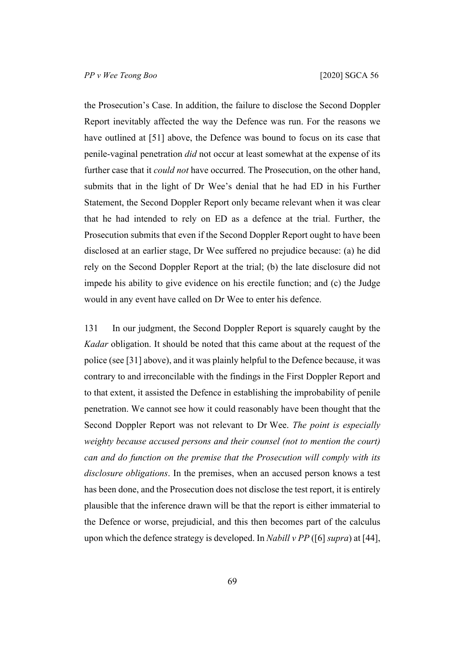the Prosecution's Case. In addition, the failure to disclose the Second Doppler Report inevitably affected the way the Defence was run. For the reasons we have outlined at [[51\]](#page-25-0) above, the Defence was bound to focus on its case that penile-vaginal penetration *did* not occur at least somewhat at the expense of its further case that it *could not* have occurred. The Prosecution, on the other hand, submits that in the light of Dr Wee's denial that he had ED in his Further Statement, the Second Doppler Report only became relevant when it was clear that he had intended to rely on ED as a defence at the trial. Further, the Prosecution submits that even if the Second Doppler Report ought to have been disclosed at an earlier stage, Dr Wee suffered no prejudice because: (a) he did rely on the Second Doppler Report at the trial; (b) the late disclosure did not impede his ability to give evidence on his erectile function; and (c) the Judge would in any event have called on Dr Wee to enter his defence.

131 In our judgment, the Second Doppler Report is squarely caught by the *Kadar* obligation. It should be noted that this came about at the request of the police (see [[31\]](#page-15-0) above), and it was plainly helpful to the Defence because, it was contrary to and irreconcilable with the findings in the First Doppler Report and to that extent, it assisted the Defence in establishing the improbability of penile penetration. We cannot see how it could reasonably have been thought that the Second Doppler Report was not relevant to Dr Wee. *The point is especially weighty because accused persons and their counsel (not to mention the court) can and do function on the premise that the Prosecution will comply with its disclosure obligations*. In the premises, when an accused person knows a test has been done, and the Prosecution does not disclose the test report, it is entirely plausible that the inference drawn will be that the report is either immaterial to the Defence or worse, prejudicial, and this then becomes part of the calculus upon which the defence strategy is developed. In *Nabill v PP* ([[6\]](#page-4-0) *supra*) at [44],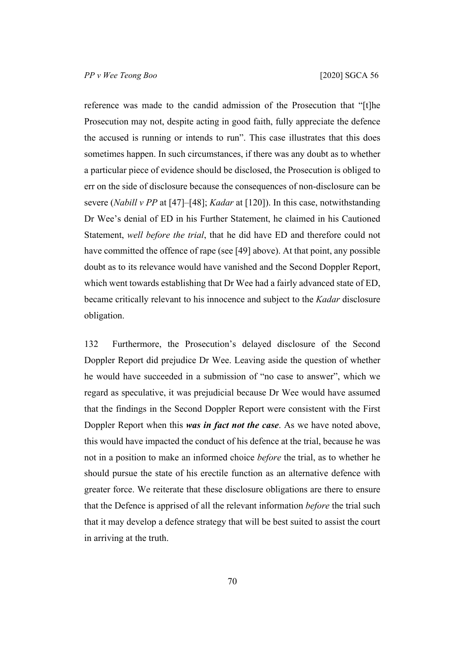reference was made to the candid admission of the Prosecution that "[t]he Prosecution may not, despite acting in good faith, fully appreciate the defence the accused is running or intends to run". This case illustrates that this does sometimes happen. In such circumstances, if there was any doubt as to whether a particular piece of evidence should be disclosed, the Prosecution is obliged to err on the side of disclosure because the consequences of non-disclosure can be severe (*Nabill v PP* at [47]–[48]; *Kadar* at [120]). In this case, notwithstanding Dr Wee's denial of ED in his Further Statement, he claimed in his Cautioned Statement, *well before the trial*, that he did have ED and therefore could not have committed the offence of rape (see [\[49](#page-23-0)] above). At that point, any possible doubt as to its relevance would have vanished and the Second Doppler Report, which went towards establishing that Dr Wee had a fairly advanced state of ED, became critically relevant to his innocence and subject to the *Kadar* disclosure obligation.

132 Furthermore, the Prosecution's delayed disclosure of the Second Doppler Report did prejudice Dr Wee. Leaving aside the question of whether he would have succeeded in a submission of "no case to answer", which we regard as speculative, it was prejudicial because Dr Wee would have assumed that the findings in the Second Doppler Report were consistent with the First Doppler Report when this *was in fact not the case*. As we have noted above, this would have impacted the conduct of his defence at the trial, because he was not in a position to make an informed choice *before* the trial, as to whether he should pursue the state of his erectile function as an alternative defence with greater force. We reiterate that these disclosure obligations are there to ensure that the Defence is apprised of all the relevant information *before* the trial such that it may develop a defence strategy that will be best suited to assist the court in arriving at the truth.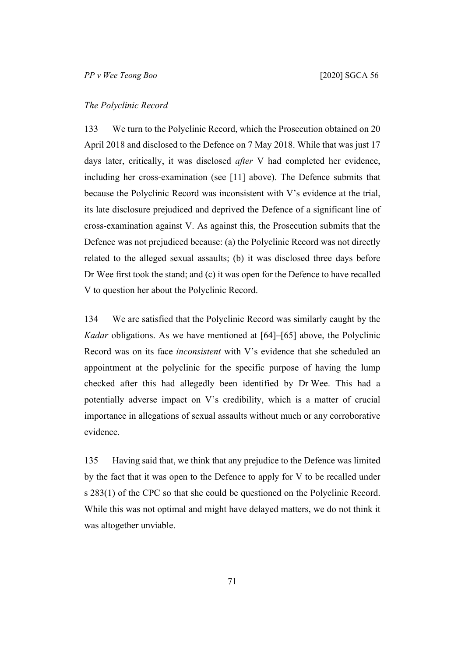## *The Polyclinic Record*

133 We turn to the Polyclinic Record, which the Prosecution obtained on 20 April 2018 and disclosed to the Defence on 7 May 2018. While that was just 17 days later, critically, it was disclosed *after* V had completed her evidence, including her cross-examination (see [[11\]](#page-6-0) above). The Defence submits that because the Polyclinic Record was inconsistent with V's evidence at the trial, its late disclosure prejudiced and deprived the Defence of a significant line of cross-examination against V. As against this, the Prosecution submits that the Defence was not prejudiced because: (a) the Polyclinic Record was not directly related to the alleged sexual assaults; (b) it was disclosed three days before Dr Wee first took the stand; and (c) it was open for the Defence to have recalled V to question her about the Polyclinic Record.

134 We are satisfied that the Polyclinic Record was similarly caught by the *Kadar* obligations. As we have mentioned at [[64\]](#page-34-0)–[[65\]](#page-35-0) above, the Polyclinic Record was on its face *inconsistent* with V's evidence that she scheduled an appointment at the polyclinic for the specific purpose of having the lump checked after this had allegedly been identified by Dr Wee. This had a potentially adverse impact on V's credibility, which is a matter of crucial importance in allegations of sexual assaults without much or any corroborative evidence.

135 Having said that, we think that any prejudice to the Defence was limited by the fact that it was open to the Defence to apply for V to be recalled under s 283(1) of the CPC so that she could be questioned on the Polyclinic Record. While this was not optimal and might have delayed matters, we do not think it was altogether unviable.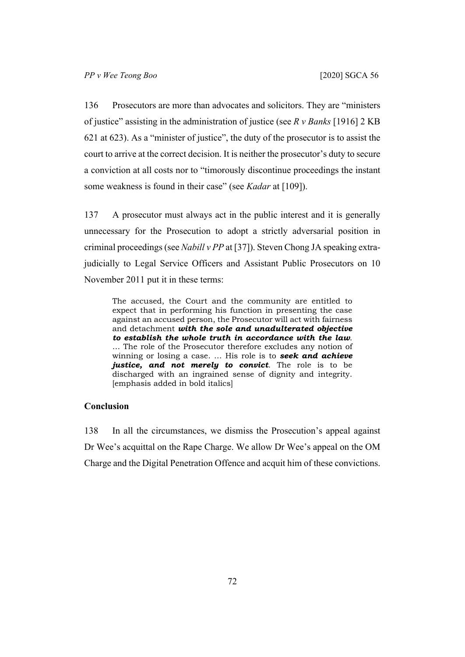136 Prosecutors are more than advocates and solicitors. They are "ministers of justice" assisting in the administration of justice (see *R v Banks* [1916] 2 KB 621 at 623). As a "minister of justice", the duty of the prosecutor is to assist the court to arrive at the correct decision. It is neither the prosecutor's duty to secure a conviction at all costs nor to "timorously discontinue proceedings the instant some weakness is found in their case" (see *Kadar* at [109]).

137 A prosecutor must always act in the public interest and it is generally unnecessary for the Prosecution to adopt a strictly adversarial position in criminal proceedings (see *Nabill v PP* at [37]). Steven Chong JA speaking extrajudicially to Legal Service Officers and Assistant Public Prosecutors on 10 November 2011 put it in these terms:

The accused, the Court and the community are entitled to expect that in performing his function in presenting the case against an accused person, the Prosecutor will act with fairness and detachment *with the sole and unadulterated objective to establish the whole truth in accordance with the law*. … The role of the Prosecutor therefore excludes any notion of winning or losing a case. … His role is to *seek and achieve justice, and not merely to convict*. The role is to be discharged with an ingrained sense of dignity and integrity. [emphasis added in bold italics]

## **Conclusion**

138 In all the circumstances, we dismiss the Prosecution's appeal against Dr Wee's acquittal on the Rape Charge. We allow Dr Wee's appeal on the OM Charge and the Digital Penetration Offence and acquit him of these convictions.